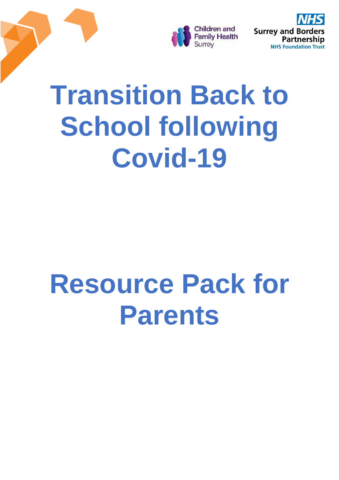

**Surrey and Bord** Partnership **NHS Foundation Trust** 

# **Transition Back to School following Covid-19**

# **Resource Pack for Parents**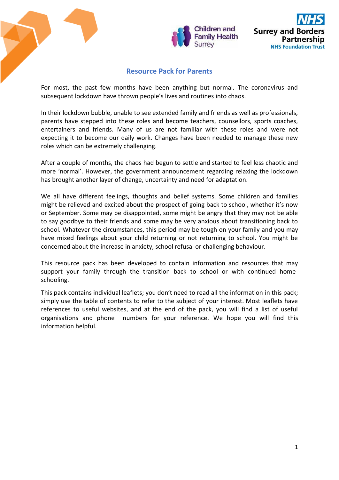

# **Resource Pack for Parents**

For most, the past few months have been anything but normal. The coronavirus and subsequent lockdown have thrown people's lives and routines into chaos.

In their lockdown bubble, unable to see extended family and friends as well as professionals, parents have stepped into these roles and become teachers, counsellors, sports coaches, entertainers and friends. Many of us are not familiar with these roles and were not expecting it to become our daily work. Changes have been needed to manage these new roles which can be extremely challenging.

After a couple of months, the chaos had begun to settle and started to feel less chaotic and more 'normal'. However, the government announcement regarding relaxing the lockdown has brought another layer of change, uncertainty and need for adaptation.

We all have different feelings, thoughts and belief systems. Some children and families might be relieved and excited about the prospect of going back to school, whether it's now or September. Some may be disappointed, some might be angry that they may not be able to say goodbye to their friends and some may be very anxious about transitioning back to school. Whatever the circumstances, this period may be tough on your family and you may have mixed feelings about your child returning or not returning to school. You might be concerned about the increase in anxiety, school refusal or challenging behaviour.

This resource pack has been developed to contain information and resources that may support your family through the transition back to school or with continued homeschooling.

This pack contains individual leaflets; you don't need to read all the information in this pack; simply use the table of contents to refer to the subject of your interest. Most leaflets have references to useful websites, and at the end of the pack, you will find a list of useful organisations and phone numbers for your reference. We hope you will find this information helpful.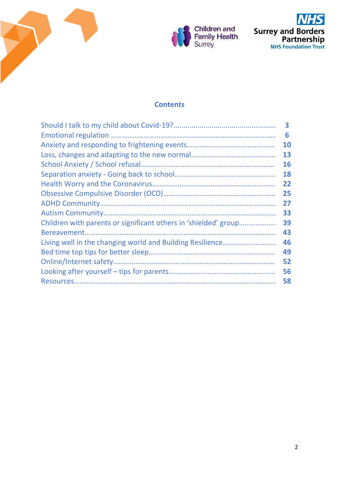





# **Contents**

| 3  |
|----|
| 6  |
| 10 |
| 13 |
| 16 |
| 18 |
| 22 |
| 25 |
| 27 |
| 33 |
| 39 |
| 43 |
| 46 |
| 49 |
| 52 |
| 56 |
| 58 |
|    |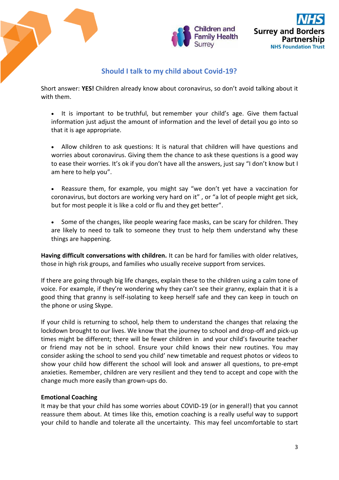

# **Should I talk to my child about Covid-19?**

Short answer: **YES!** Children already know about coronavirus, so don't avoid talking about it with them.

- It is important to be truthful, but remember your child's age. Give them factual information just adjust the amount of information and the level of detail you go into so that it is age appropriate.
- Allow children to ask questions: It is natural that children will have questions and worries about coronavirus. Giving them the chance to ask these questions is a good way to ease their worries. It's ok if you don't have all the answers, just say "I don't know but I am here to help you".
- Reassure them, for example, you might say "we don't yet have a vaccination for coronavirus, but doctors are working very hard on it" , or "a lot of people might get sick, but for most people it is like a cold or flu and they get better".
- Some of the changes, like people wearing face masks, can be scary for children. They are likely to need to talk to someone they trust to help them understand why these things are happening.

**Having difficult conversations with children.** It can be hard for families with older relatives, those in high risk groups, and families who usually receive support from services.

If there are going through big life changes, explain these to the children using a calm tone of voice. For example, if they're wondering why they can't see their granny, explain that it is a good thing that granny is self-isolating to keep herself safe and they can keep in touch on the phone or using Skype.

If your child is returning to school, help them to understand the changes that relaxing the lockdown brought to our lives. We know that the journey to school and drop-off and pick-up times might be different; there will be fewer children in and your child's favourite teacher or friend may not be in school. Ensure your child knows their new routines. You may consider asking the school to send you child' new timetable and request photos or videos to show your child how different the school will look and answer all questions, to pre-empt anxieties. Remember, children are very resilient and they tend to accept and cope with the change much more easily than grown-ups do.

# **Emotional Coaching**

It may be that your child has some worries about COVID-19 (or in general!) that you cannot reassure them about. At times like this, emotion coaching is a really useful way to support your child to handle and tolerate all the uncertainty. This may feel uncomfortable to start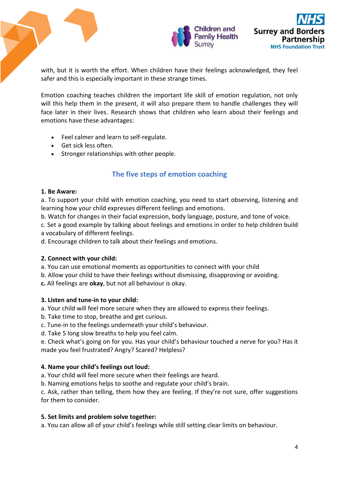

with, but it is worth the effort. When children have their feelings acknowledged, they feel safer and this is especially important in these strange times.

Emotion coaching teaches children the important life skill of emotion regulation, not only will this help them in the present, it will also prepare them to handle challenges they will face later in their lives. Research shows that children who learn about their feelings and emotions have these advantages:

- Feel calmer and learn to self-regulate.
- Get sick less often.
- Stronger relationships with other people.

# **The five steps of emotion coaching**

## **1. Be Aware:**

a. To support your child with emotion coaching, you need to start observing, listening and learning how your child expresses different feelings and emotions.

b. Watch for changes in their facial expression, body language, posture, and tone of voice.

c. Set a good example by talking about feelings and emotions in order to help children build a vocabulary of different feelings.

d. Encourage children to talk about their feelings and emotions.

# **2. Connect with your child:**

a. You can use emotional moments as opportunities to connect with your child

b. Allow your child to have their feelings without dismissing, disapproving or avoiding.

**c.** All feelings are **okay**, but not all behaviour is okay.

# **3. Listen and tune-in to your child:**

a. Your child will feel more secure when they are allowed to express their feelings.

b. Take time to stop, breathe and get curious.

c. Tune-in to the feelings underneath your child's behaviour.

d. Take 5 long slow breaths to help you feel calm.

e. Check what's going on for you. Has your child's behaviour touched a nerve for you? Has it made you feel frustrated? Angry? Scared? Helpless?

# **4. Name your child's feelings out loud:**

a. Your child will feel more secure when their feelings are heard.

b. Naming emotions helps to soothe and regulate your child's brain.

c. Ask, rather than telling, them how they are feeling. If they're not sure, offer suggestions for them to consider.

# **5. Set limits and problem solve together:**

a. You can allow all of your child's feelings while still setting clear limits on behaviour.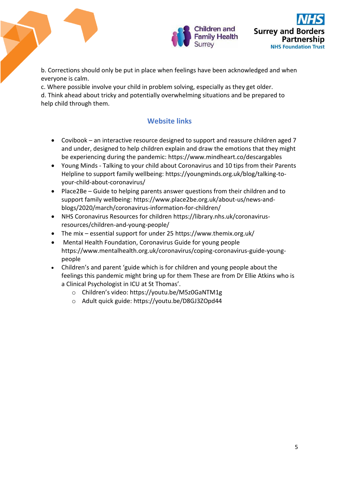

b. Corrections should only be put in place when feelings have been acknowledged and when everyone is calm.

c. Where possible involve your child in problem solving, especially as they get older. d. Think ahead about tricky and potentially overwhelming situations and be prepared to help child through them.

# **Website links**

- Covibook an interactive resource designed to support and reassure children aged 7 and under, designed to help children explain and draw the emotions that they might be experiencing during the pandemic: [https://www.mindheart.co/descargables](https://eur02.safelinks.protection.outlook.com/?url=https%3A%2F%2Fwww.mindheart.co%2Fdescargables&data=02%7C01%7CAAllard%40ncb.org.uk%7C7d078078e21d4611dba808d7cb45bcbd%7Cadc87355e29c4519954f95e35c776178%7C0%7C0%7C637201372684940084&sdata=H2glY%2Bfie1Tk3b6lnXcKEmKtZs%2Bf%2BCSQIydH2LaaCgI%3D&reserved=0)
- Young Minds Talking to your child about Coronavirus and 10 tips from their Parents Helpline to support family wellbeing: [https://youngminds.org.uk/blog/talking-to](https://eur02.safelinks.protection.outlook.com/?url=https%3A%2F%2Fyoungminds.org.uk%2Fblog%2Ftalking-to-your-child-about-coronavirus%2F&data=02%7C01%7CAAllard%40ncb.org.uk%7C7d078078e21d4611dba808d7cb45bcbd%7Cadc87355e29c4519954f95e35c776178%7C0%7C0%7C637201372684930090&sdata=hCT6wVcFSacio7qNOvk6eX8YRRm0uKSOa4QvPTitEMg%3D&reserved=0)[your-child-about-coronavirus/](https://eur02.safelinks.protection.outlook.com/?url=https%3A%2F%2Fyoungminds.org.uk%2Fblog%2Ftalking-to-your-child-about-coronavirus%2F&data=02%7C01%7CAAllard%40ncb.org.uk%7C7d078078e21d4611dba808d7cb45bcbd%7Cadc87355e29c4519954f95e35c776178%7C0%7C0%7C637201372684930090&sdata=hCT6wVcFSacio7qNOvk6eX8YRRm0uKSOa4QvPTitEMg%3D&reserved=0)
- Place2Be Guide to helping parents answer questions from their children and to support family wellbeing: [https://www.place2be.org.uk/about-us/news-and](https://www.place2be.org.uk/about-us/news-and-blogs/2020/march/coronavirus-information-for-children/)[blogs/2020/march/coronavirus-information-for-children/](https://www.place2be.org.uk/about-us/news-and-blogs/2020/march/coronavirus-information-for-children/)
- NHS Coronavirus Resources for children https://library.nhs.uk/coronavirusresources/children-and-young-people/
- The mix essential support for under 25<https://www.themix.org.uk/>
- Mental Health Foundation, Coronavirus Guide for young people https://www.mentalhealth.org.uk/coronavirus/coping-coronavirus-guide-youngpeople
- Children's and parent 'guide which is for children and young people about the feelings this pandemic might bring up for them These are from Dr Ellie Atkins who is a Clinical Psychologist in ICU at St Thomas'.
	- o Children's video: <https://youtu.be/M5z0GaNTM1g>
	- o Adult quick guide:<https://youtu.be/D8GJ3ZOpd44>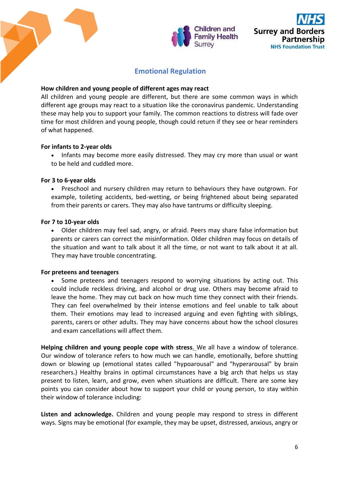

# **Emotional Regulation**

#### **How children and young people of different ages may react**

All children and young people are different, but there are some common ways in which different age groups may react to a situation like the coronavirus pandemic. Understanding these may help you to support your family. The common reactions to distress will fade over time for most children and young people, though could return if they see or hear reminders of what happened.

### **For infants to 2-year olds**

 Infants may become more easily distressed. They may cry more than usual or want to be held and cuddled more.

#### **For 3 to 6-year olds**

 Preschool and nursery children may return to behaviours they have outgrown. For example, toileting accidents, bed-wetting, or being frightened about being separated from their parents or carers. They may also have tantrums or difficulty sleeping.

#### **For 7 to 10-year olds**

 Older children may feel sad, angry, or afraid. Peers may share false information but parents or carers can correct the misinformation. Older children may focus on details of the situation and want to talk about it all the time, or not want to talk about it at all. They may have trouble concentrating.

### **For preteens and teenagers**

 Some preteens and teenagers respond to worrying situations by acting out. This could include reckless driving, and alcohol or drug use. Others may become afraid to leave the home. They may cut back on how much time they connect with their friends. They can feel overwhelmed by their intense emotions and feel unable to talk about them. Their emotions may lead to increased arguing and even fighting with siblings, parents, carers or other adults. They may have concerns about how the school closures and exam cancellations will affect them.

**Helping children and young people cope with stress.** We all have a window of tolerance. Our window of tolerance refers to how much we can handle, emotionally, before shutting down or blowing up (emotional states called "hypoarousal" and "hyperarousal" by brain researchers.) Healthy brains in optimal circumstances have a big arch that helps us stay present to listen, learn, and grow, even when situations are difficult. There are some key points you can consider about how to support your child or young person, to stay within their window of tolerance including:

**Listen and acknowledge.** Children and young people may respond to stress in different ways. Signs may be emotional (for example, they may be upset, distressed, anxious, angry or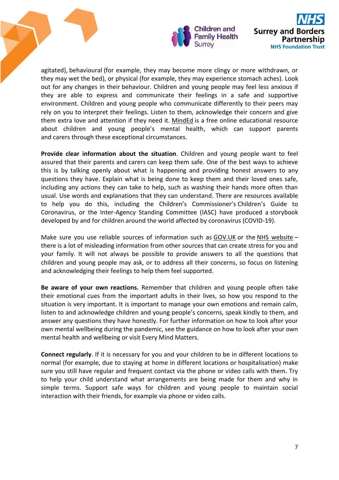

agitated), behavioural (for example, they may become more clingy or more withdrawn, or they may wet the bed), or physical (for example, they may experience stomach aches). Look out for any changes in their behaviour. Children and young people may feel less anxious if they are able to express and communicate their feelings in a safe and supportive environment. Children and young people who communicate differently to their peers may rely on you to interpret their feelings. Listen to them, acknowledge their concern and give them extra love and attention if they need it. [MindEd](https://www.minded.org.uk/) is a free online educational resource about children and young people's mental health, which can support parents and carers through these exceptional circumstances.

**Provide clear information about the situation**. Children and young people want to feel assured that their parents and carers can keep them safe. One of the best ways to achieve this is by talking openly about what is happening and providing honest answers to any questions they have. Explain what is being done to keep them and their loved ones safe, including any actions they can take to help, such as washing their hands more often than usual. Use words and explanations that they can understand. There are resources available to help you do this, including the Children's Commissioner's [Children's Guide to](https://www.childrenscommissioner.gov.uk/wp-content/uploads/2020/03/cco-childrens-guide-to-coronavirus.pdf)  [Coronavirus,](https://www.childrenscommissioner.gov.uk/wp-content/uploads/2020/03/cco-childrens-guide-to-coronavirus.pdf) or the Inter-Agency Standing Committee (IASC) have produced a [storybook](https://interagencystandingcommittee.org/system/files/2020-04/My%20Hero%20is%20You%2C%20Storybook%20for%20Children%20on%20COVID-19.pdf)  [developed by and for children around the world affected by coronavirus \(COVID-19\).](https://interagencystandingcommittee.org/system/files/2020-04/My%20Hero%20is%20You%2C%20Storybook%20for%20Children%20on%20COVID-19.pdf)

Make sure you use reliable sources of information such as [GOV.UK](https://www.gov.uk/government/topical-events/coronavirus-covid-19-uk-government-response) or the [NHS website](https://www.nhs.uk/conditions/coronavirus-covid-19/) – there is a lot of misleading information from other sources that can create stress for you and your family. It will not always be possible to provide answers to all the questions that children and young people may ask, or to address all their concerns, so focus on listening and acknowledging their feelings to help them feel supported.

**Be aware of your own reactions.** Remember that children and young people often take their emotional cues from the important adults in their lives, so how you respond to the situation is very important. It is important to manage your own emotions and remain calm, listen to and acknowledge children and young people's concerns, speak kindly to them, and answer any questions they have honestly. For further information on how to look after your own mental wellbeing during the pandemic, see the [guidance on how to look after your own](https://www.gov.uk/government/publications/covid-19-guidance-for-the-public-on-mental-health-and-wellbeing/guidance-for-the-public-on-the-mental-health-and-wellbeing-aspects-of-coronavirus-covid-19)  [mental health and wellbeing](https://www.gov.uk/government/publications/covid-19-guidance-for-the-public-on-mental-health-and-wellbeing/guidance-for-the-public-on-the-mental-health-and-wellbeing-aspects-of-coronavirus-covid-19) or visit [Every Mind Matters.](https://www.nhs.uk/oneyou/every-mind-matters/)

**Connect regularly**. If it is necessary for you and your children to be in different locations to normal (for example, due to staying at home in different locations or hospitalisation) make sure you still have regular and frequent contact via the phone or video calls with them. Try to help your child understand what arrangements are being made for them and why in simple terms. Support safe ways for children and young people to maintain social interaction with their friends, for example via phone or video calls.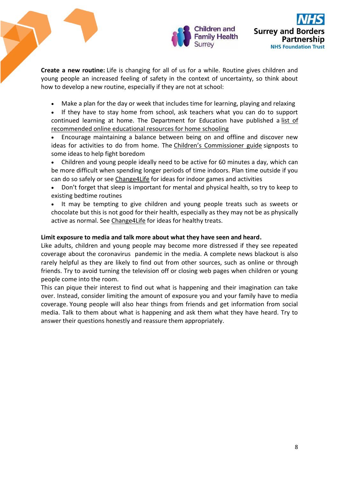

**Create a new routine:** Life is changing for all of us for a while. Routine gives children and young people an increased feeling of safety in the context of uncertainty, so think about how to develop a new routine, especially if they are not at school:

- Make a plan for the day or week that includes time for learning, playing and relaxing
- If they have to stay home from school, ask teachers what you can do to support continued learning at home. The Department for Education have published a list of [recommended online educational resources for home schooling](https://www.gov.uk/government/publications/coronavirus-covid-19-online-education-resources/coronavirus-covid-19-list-of-online-education-resources-for-home-education)
- Encourage maintaining a balance between being on and offline and discover new ideas for activities to do from home. The [Children's Commissioner guide](https://www.childrenscommissioner.gov.uk/wp-content/uploads/2020/03/cco-childrens-guide-to-coronavirus.pdf) signposts to some ideas to help fight boredom
- Children and young people ideally need to be active for 60 minutes a day, which can be more difficult when spending longer periods of time indoors. Plan time outside if you can do so safely or see [Change4Life](https://www.nhs.uk/change4life) for ideas for indoor games and activities
- Don't forget that sleep is important for mental and physical health, so try to keep to existing bedtime routines
- It may be tempting to give children and young people treats such as sweets or chocolate but this is not good for their health, especially as they may not be as physically active as normal. See [Change4Life](https://www.nhs.uk/change4life) for ideas for healthy treats.

## **Limit exposure to media and talk more about what they have seen and heard.**

Like adults, children and young people may become more distressed if they see repeated coverage about the coronavirus pandemic in the media. A complete news blackout is also rarely helpful as they are likely to find out from other sources, such as online or through friends. Try to avoid turning the television off or closing web pages when children or young people come into the room.

This can pique their interest to find out what is happening and their imagination can take over. Instead, consider limiting the amount of exposure you and your family have to media coverage. Young people will also hear things from friends and get information from social media. Talk to them about what is happening and ask them what they have heard. Try to answer their questions honestly and reassure them appropriately.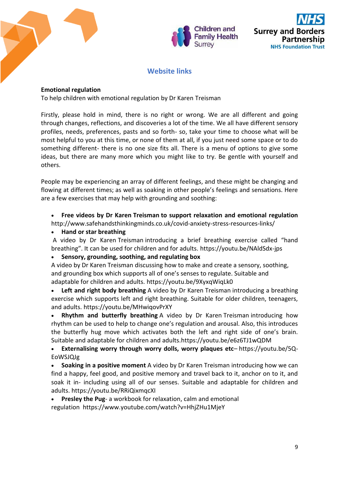



# **Website links**

## **Emotional regulation**

To help children with emotional regulation by Dr Karen Treisman

Firstly, please hold in mind, there is no right or wrong. We are all different and going through changes, reflections, and discoveries a lot of the time. We all have different sensory profiles, needs, preferences, pasts and so forth- so, take your time to choose what will be most helpful to you at this time, or none of them at all, if you just need some space or to do something different- there is no one size fits all. There is a menu of options to give some ideas, but there are many more which you might like to try. Be gentle with yourself and others.

People may be experiencing an array of different feelings, and these might be changing and flowing at different times; as well as soaking in other people's feelings and sensations. Here are a few exercises that may help with grounding and soothing:

 **Free videos by Dr Karen Treisman to support relaxation and emotional regulation**  <http://www.safehandsthinkingminds.co.uk/covid-anxiety-stress-resources-links/>

**Hand or star breathing**

A video by Dr Karen Treisman introducing a brief breathing exercise called "hand breathing". It can be used for children and for adults. <https://youtu.be/NAldSdx-jps>

### **Sensory, grounding, soothing, and regulating box**

A video by Dr Karen Treisman discussing how to make and create a sensory, soothing, and grounding box which supports all of one's senses to regulate. Suitable and adaptable for children and adults. <https://youtu.be/9XyxqWiqLk0>

 **Left and right body breathing** A video by Dr Karen Treisman introducing a breathing exercise which supports left and right breathing. Suitable for older children, teenagers, and adults. <https://youtu.be/MHwiqovPrXY>

 **Rhythm and butterfly breathing** A video by Dr Karen Treisman introducing how rhythm can be used to help to change one's regulation and arousal. Also, this introduces the butterfly hug move which activates both the left and right side of one's brain. Suitable and adaptable for children and adults[.https://youtu.be/e6z6TJ1wQDM](https://youtu.be/e6z6TJ1wQDM)

 **Externalising worry through worry dolls, worry plaques etc**– [https://youtu.be/5Q-](https://youtu.be/5Q-EoWSJQJg)[EoWSJQJg](https://youtu.be/5Q-EoWSJQJg)

 **Soaking in a positive moment** A video by Dr Karen Treisman introducing how we can find a happy, feel good, and positive memory and travel back to it, anchor on to it, and soak it in- including using all of our senses. Suitable and adaptable for children and adults. <https://youtu.be/RRiQixmqcXI>

**Presley the Pug**- a workbook for relaxation, calm and emotional

regulation <https://www.youtube.com/watch?v=HhjZHu1MjeY>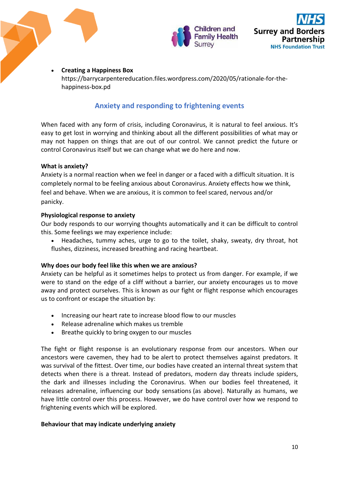

## **Creating a Happiness Box**

https://barrycarpentereducation.files.wordpress.com/2020/05/rationale-for-thehappiness-box.pd

# **Anxiety and responding to frightening events**

When faced with any form of crisis, including Coronavirus, it is natural to feel anxious. It's easy to get lost in worrying and thinking about all the different possibilities of what may or may not happen on things that are out of our control. We cannot predict the future or control Coronavirus itself but we can change what we do here and now.

### **What is anxiety?**

Anxiety is a normal reaction when we feel in danger or a faced with a difficult situation. It is completely normal to be feeling anxious about Coronavirus. Anxiety effects how we think, feel and behave. When we are anxious, it is common to feel scared, nervous and/or panicky.

## **Physiological response to anxiety**

Our body responds to our worrying thoughts automatically and it can be difficult to control this. Some feelings we may experience include:

 Headaches, tummy aches, urge to go to the toilet, shaky, sweaty, dry throat, hot flushes, dizziness, increased breathing and racing heartbeat.

### **Why does our body feel like this when we are anxious?**

Anxiety can be helpful as it sometimes helps to protect us from danger. For example, if we were to stand on the edge of a cliff without a barrier, our anxiety encourages us to move away and protect ourselves. This is known as our fight or flight response which encourages us to confront or escape the situation by:

- Increasing our heart rate to increase blood flow to our muscles
- Release adrenaline which makes us tremble
- Breathe quickly to bring oxygen to our muscles

The fight or flight response is an evolutionary response from our ancestors. When our ancestors were cavemen, they had to be alert to protect themselves against predators. It was survival of the fittest. Over time, our bodies have created an internal threat system that detects when there is a threat. Instead of predators, modern day threats include spiders, the dark and illnesses including the Coronavirus. When our bodies feel threatened, it releases adrenaline, influencing our body sensations (as above). Naturally as humans, we have little control over this process. However, we do have control over how we respond to frightening events which will be explored.

### **Behaviour that may indicate underlying anxiety**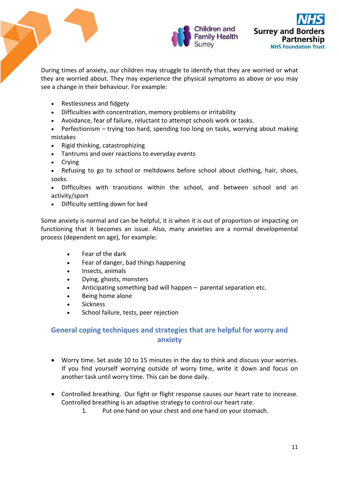

During times of anxiety, our children may struggle to identify that they are worried or what they are worried about. They may experience the physical symptoms as above or you may see a change in their behaviour. For example:

- Restlessness and fidgety
- Difficulties with concentration, memory problems or irritability
- Avoidance, fear of failure, reluctant to attempt schools work or tasks.
- Perfectionism trying too hard, spending too long on tasks, worrying about making mistakes
- Rigid thinking, catastrophizing
- Tantrums and over reactions to everyday events
- Crying
- Refusing to go to school or meltdowns before school about clothing, hair, shoes, socks.
- Difficulties with transitions within the school, and between school and an activity/sport
- Difficulty settling down for bed

Some anxiety is normal and can be helpful, it is when it is out of proportion or impacting on functioning that it becomes an issue. Also, many anxieties are a normal developmental process (dependent on age), for example:

- Fear of the dark
- Fear of danger, bad things happening
- Insects, animals
- Dying, ghosts, monsters
- Anticipating something bad will happen parental separation etc.
- Being home alone
- **.** Sickness
- **School failure, tests, peer rejection**

# **General coping techniques and strategies that are helpful for worry and anxiety**

- Worry time. Set aside 10 to 15 minutes in the day to think and discuss your worries. If you find yourself worrying outside of worry time, write it down and focus on another task until worry time. This can be done daily.
- Controlled breathing. Our fight or flight response causes our heart rate to increase. Controlled breathing is an adaptive strategy to control our heart rate.
	- 1. Put one hand on your chest and one hand on your stomach.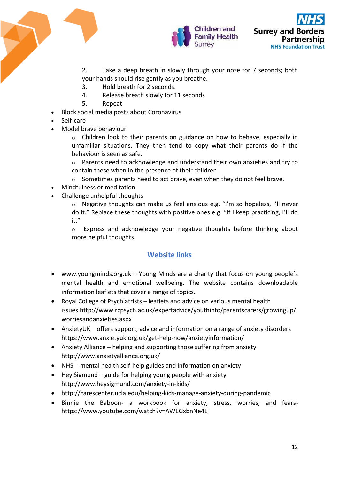



2. Take a deep breath in slowly through your nose for 7 seconds; both

- your hands should rise gently as you breathe.
- 3. Hold breath for 2 seconds.
- 4. Release breath slowly for 11 seconds
- 5. Repeat
- Block social media posts about Coronavirus
- Self-care
- Model brave behaviour
	- $\circ$  Children look to their parents on guidance on how to behave, especially in unfamiliar situations. They then tend to copy what their parents do if the behaviour is seen as safe.
	- o Parents need to acknowledge and understand their own anxieties and try to contain these when in the presence of their children.
	- $\circ$  Sometimes parents need to act brave, even when they do not feel brave.
- Mindfulness or meditation
- Challenge unhelpful thoughts
	- o Negative thoughts can make us feel anxious e.g. "I'm so hopeless, I'll never do it." Replace these thoughts with positive ones e.g. "If I keep practicing, I'll do it."

o Express and acknowledge your negative thoughts before thinking about more helpful thoughts.

# **Website links**

- [www.youngminds.org.uk](http://www.youngminds.org.uk/) Young Minds are a charity that focus on young people's mental health and emotional wellbeing. The website contains downloadable information leaflets that cover a range of topics.
- Royal College of Psychiatrists leaflets and advice on various mental health issues[.http://www.rcpsych.ac.uk/expertadvice/youthinfo/parentscarers/growingup/](http://www.rcpsych.ac.uk/expertadvice/youthinfo/parentscarers/growingup/worriesandanxieties.aspx) [worriesandanxieties.aspx](http://www.rcpsych.ac.uk/expertadvice/youthinfo/parentscarers/growingup/worriesandanxieties.aspx)
- AnxietyUK offers support, advice and information on a range of anxiety disorders <https://www.anxietyuk.org.uk/get-help-now/anxietyinformation/>
- Anxiety Alliance helping and supporting those suffering from anxiety <http://www.anxietyalliance.org.uk/>
- NHS mental health self-help guides and information on anxiety
- Hey Sigmund guide for helping young people with anxiety <http://www.heysigmund.com/anxiety-in-kids/>
- <http://carescenter.ucla.edu/helping-kids-manage-anxiety-during-pandemic>
- Binnie the Baboon- a workbook for anxiety, stress, worries, and fears<https://www.youtube.com/watch?v=AWEGxbnNe4E>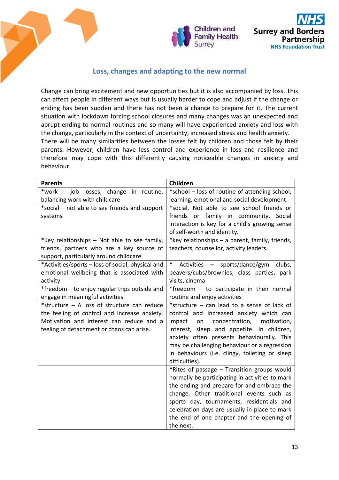

# **Loss, changes and adapting to the new normal**

Change can bring excitement and new opportunities but it is also accompanied by loss. This can affect people in different ways but is usually harder to cope and adjust if the change or ending has been sudden and there has not been a chance to prepare for it. The current situation with lockdown forcing school closures and many changes was an unexpected and abrupt ending to normal routines and so many will have experienced anxiety and loss with the change, particularly in the context of uncertainty, increased stress and health anxiety. There will be many similarities between the losses felt by children and those felt by their parents. However, children have less control and experience in loss and resilience and therefore may cope with this differently causing noticeable changes in anxiety and behaviour.

| <b>Parents</b>                                    | Children                                          |
|---------------------------------------------------|---------------------------------------------------|
| *work - job losses, change in routine,            | *school - loss of routine of attending school,    |
| balancing work with childcare                     | learning, emotional and social development.       |
| *social - not able to see friends and support     | *social. Not able to see school friends or        |
| systems                                           | friends or family in community. Social            |
|                                                   | interaction is key for a child's growing sense    |
|                                                   | of self-worth and identity.                       |
| *Key relationships - Not able to see family,      | *key relationships - a parent, family, friends,   |
| friends, partners who are a key source of         | teachers, counsellor, activity leaders.           |
| support, particularly around childcare.           |                                                   |
| *Activities/sports – loss of social, physical and | $\ast$<br>Activities - sports/dance/gym<br>clubs, |
| emotional wellbeing that is associated with       | beavers/cubs/brownies, class parties, park        |
| activity.                                         | visits, cinema                                    |
| *freedom - to enjoy regular trips outside and     | *freedom - to participate in their normal         |
| engage in meaningful activities.                  | routine and enjoy activities                      |
| *structure - A loss of structure can reduce       | *structure - can lead to a sense of lack of       |
| the feeling of control and increase anxiety.      | control and increased anxiety which can           |
| Motivation and interest can reduce and a          | impact<br>concentration,<br>motivation,<br>on     |
| feeling of detachment or chaos can arise.         | interest, sleep and appetite. In children,        |
|                                                   | anxiety often presents behaviourally. This        |
|                                                   | may be challenging behaviour or a regression      |
|                                                   | in behaviours (i.e. clingy, toileting or sleep    |
|                                                   | difficulties).                                    |
|                                                   | *Rites of passage - Transition groups would       |
|                                                   | normally be participating in activities to mark   |
|                                                   | the ending and prepare for and embrace the        |
|                                                   | change. Other traditional events such as          |
|                                                   | sports day, tournaments, residentials and         |
|                                                   | celebration days are usually in place to mark     |
|                                                   | the end of one chapter and the opening of         |
|                                                   | the next.                                         |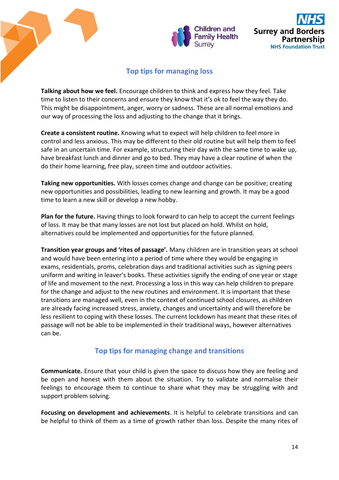

# **Top tips for managing loss**

**Talking about how we feel.** Encourage children to think and express how they feel. Take time to listen to their concerns and ensure they know that it's ok to feel the way they do. This might be disappointment, anger, worry or sadness. These are all normal emotions and our way of processing the loss and adjusting to the change that it brings.

**Create a consistent routine.** Knowing what to expect will help children to feel more in control and less anxious. This may be different to their old routine but will help them to feel safe in an uncertain time. For example, structuring their day with the same time to wake up, have breakfast lunch and dinner and go to bed. They may have a clear routine of when the do their home learning, free play, screen time and outdoor activities.

**Taking new opportunities.** With losses comes change and change can be positive; creating new opportunities and possibilities, leading to new learning and growth. It may be a good time to learn a new skill or develop a new hobby.

**Plan for the future.** Having things to look forward to can help to accept the current feelings of loss. It may be that many losses are not lost but placed on hold. Whilst on hold, alternatives could be implemented and opportunities for the future planned.

**Transition year groups and 'rites of passage'.** Many children are in transition years at school and would have been entering into a period of time where they would be engaging in exams, residentials, proms, celebration days and traditional activities such as signing peers uniform and writing in leaver's books. These activities signify the ending of one year or stage of life and movement to the next. Processing a loss in this way can help children to prepare for the change and adjust to the new routines and environment. It is important that these transitions are managed well, even in the context of continued school closures, as children are already facing increased stress, anxiety, changes and uncertainty and will therefore be less resilient to coping with these losses. The current lockdown has meant that these rites of passage will not be able to be implemented in their traditional ways, however alternatives can be.

# **Top tips for managing change and transitions**

**Communicate.** Ensure that your child is given the space to discuss how they are feeling and be open and honest with them about the situation. Try to validate and normalise their feelings to encourage them to continue to share what they may be struggling with and support problem solving.

**Focusing on development and achievements**. It is helpful to celebrate transitions and can be helpful to think of them as a time of growth rather than loss. Despite the many rites of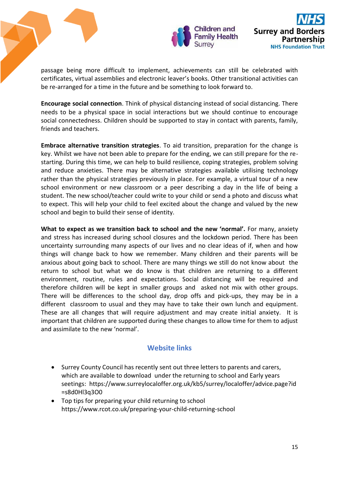

passage being more difficult to implement, achievements can still be celebrated with certificates, virtual assemblies and electronic leaver's books. Other transitional activities can be re-arranged for a time in the future and be something to look forward to.

**Encourage social connection**. Think of physical distancing instead of social distancing. There needs to be a physical space in social interactions but we should continue to encourage social connectedness. Children should be supported to stay in contact with parents, family, friends and teachers.

**Embrace alternative transition strategies**. To aid transition, preparation for the change is key. Whilst we have not been able to prepare for the ending, we can still prepare for the restarting. During this time, we can help to build resilience, coping strategies, problem solving and reduce anxieties. There may be alternative strategies available utilising technology rather than the physical strategies previously in place. For example, a virtual tour of a new school environment or new classroom or a peer describing a day in the life of being a student. The new school/teacher could write to your child or send a photo and discuss what to expect. This will help your child to feel excited about the change and valued by the new school and begin to build their sense of identity.

**What to expect as we transition back to school and the new 'normal'.** For many, anxiety and stress has increased during school closures and the lockdown period. There has been uncertainty surrounding many aspects of our lives and no clear ideas of if, when and how things will change back to how we remember. Many children and their parents will be anxious about going back to school. There are many things we still do not know about the return to school but what we do know is that children are returning to a different environment, routine, rules and expectations. Social distancing will be required and therefore children will be kept in smaller groups and asked not mix with other groups. There will be differences to the school day, drop offs and pick-ups, they may be in a different classroom to usual and they may have to take their own lunch and equipment. These are all changes that will require adjustment and may create initial anxiety. It is important that children are supported during these changes to allow time for them to adjust and assimilate to the new 'normal'.

# **Website links**

- Surrey County Council has recently sent out three letters to parents and carers, which are available to download under the returning to school and Early years seetings: [https://www.surreylocaloffer.org.uk/kb5/surrey/localoffer/advice.page?id](https://www.surreylocaloffer.org.uk/kb5/surrey/localoffer/advice.page?id=s8d0Hl3q3O0) [=s8d0Hl3q3O0](https://www.surreylocaloffer.org.uk/kb5/surrey/localoffer/advice.page?id=s8d0Hl3q3O0)
- Top tips for preparing your child returning to school <https://www.rcot.co.uk/preparing-your-child-returning-school>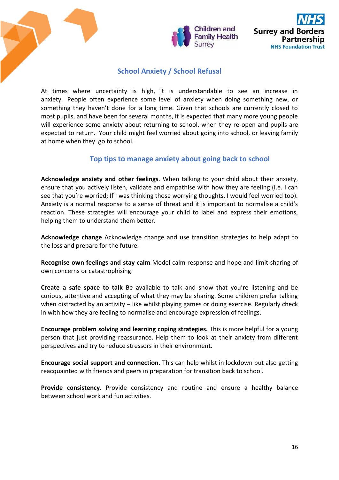

# **School Anxiety / School Refusal**

At times where uncertainty is high, it is understandable to see an increase in anxiety. People often experience some level of anxiety when doing something new, or something they haven't done for a long time. Given that schools are currently closed to most pupils, and have been for several months, it is expected that many more young people will experience some anxiety about returning to school, when they re-open and pupils are expected to return. Your child might feel worried about going into school, or leaving family at home when they go to school.

# **Top tips to manage anxiety about going back to school**

**Acknowledge anxiety and other feelings**. When talking to your child about their anxiety, ensure that you actively listen, validate and empathise with how they are feeling (i.e. I can see that you're worried; If I was thinking those worrying thoughts, I would feel worried too). Anxiety is a normal response to a sense of threat and it is important to normalise a child's reaction. These strategies will encourage your child to label and express their emotions, helping them to understand them better.

**Acknowledge change** Acknowledge change and use transition strategies to help adapt to the loss and prepare for the future.

**Recognise own feelings and stay calm** Model calm response and hope and limit sharing of own concerns or catastrophising.

**Create a safe space to talk** Be available to talk and show that you're listening and be curious, attentive and accepting of what they may be sharing. Some children prefer talking when distracted by an activity – like whilst playing games or doing exercise. Regularly check in with how they are feeling to normalise and encourage expression of feelings.

**Encourage problem solving and learning coping strategies.** This is more helpful for a young person that just providing reassurance. Help them to look at their anxiety from different perspectives and try to reduce stressors in their environment.

**Encourage social support and connection.** This can help whilst in lockdown but also getting reacquainted with friends and peers in preparation for transition back to school.

**Provide consistency**. Provide consistency and routine and ensure a healthy balance between school work and fun activities.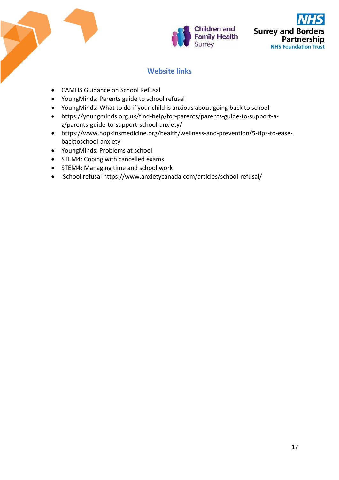



# **Website links**

- [CAMHS Guidance on School Refusal](https://www.camhsnorthderbyshire.nhs.uk/school-refusal)
- [YoungMinds: Parents guide to school refusal](https://youngminds.org.uk/find-help/for-parents/parents-guide-to-support-a-z/parents-guide-to-support-school-refusal/)
- [YoungMinds: What to do if your child is anxious about going back to school](https://youngminds.org.uk/blog/what-to-do-if-your-child-is-anxious-about-going-back-to-school/)
- [https://youngminds.org.uk/find-help/for-parents/parents-guide-to-support-a](https://youngminds.org.uk/find-help/for-parents/parents-guide-to-support-a-z/parents-guide-to-support-school-anxiety/)[z/parents-guide-to-support-school-anxiety/](https://youngminds.org.uk/find-help/for-parents/parents-guide-to-support-a-z/parents-guide-to-support-school-anxiety/)
- [https://www.hopkinsmedicine.org/health/wellness-and-prevention/5-tips-to-ease](https://www.hopkinsmedicine.org/health/wellness-and-prevention/5-tips-to-ease-backtoschool-anxiety)[backtoschool-anxiety](https://www.hopkinsmedicine.org/health/wellness-and-prevention/5-tips-to-ease-backtoschool-anxiety)
- [YoungMinds: Problems at school](https://youngminds.org.uk/find-help/feelings-and-symptoms/problems-at-school/)
- [STEM4: Coping with cancelled exams](https://4123n13bqnypihxzs1aprwwe-wpengine.netdna-ssl.com/wp-content/uploads/2020/04/Coping-With-Cancelled-Exams.pdf)
- [STEM4: Managing time and school work](https://4123n13bqnypihxzs1aprwwe-wpengine.netdna-ssl.com/wp-content/uploads/2020/04/Managing-Time-and-Work.pdf)
- School refusal<https://www.anxietycanada.com/articles/school-refusal/>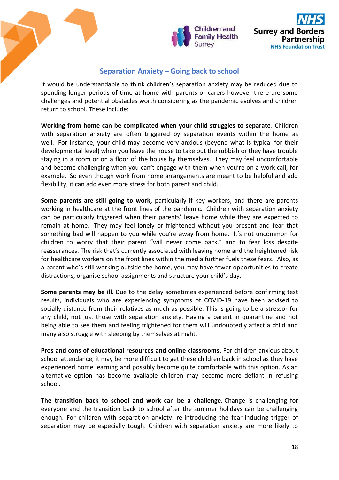

# **Separation Anxiety – Going back to school**

It would be understandable to think children's separation anxiety may be reduced due to spending longer periods of time at home with parents or carers however there are some challenges and potential obstacles worth considering as the pandemic evolves and children return to school. These include:

**Working from home can be complicated when your child struggles to separate**. Children with separation anxiety are often triggered by separation events within the home as well. For instance, your child may become very anxious (beyond what is typical for their developmental level) when you leave the house to take out the rubbish or they have trouble staying in a room or on a floor of the house by themselves. They may feel uncomfortable and become challenging when you can't engage with them when you're on a work call, for example. So even though work from home arrangements are meant to be helpful and add flexibility, it can add even more stress for both parent and child.

**Some parents are still going to work,** particularly if key workers, and there are parents working in healthcare at the front lines of the pandemic. Children with separation anxiety can be particularly triggered when their parents' leave home while they are expected to remain at home. They may feel lonely or frightened without you present and fear that something bad will happen to you while you're away from home. It's not uncommon for children to worry that their parent "will never come back," and to fear loss despite reassurances. The risk that's currently associated with leaving home and the heightened risk for healthcare workers on the front lines within the media further fuels these fears. Also, as a parent who's still working outside the home, you may have fewer opportunities to create distractions, organise school assignments and structure your child's day.

**Some parents may be ill.** Due to the delay sometimes experienced before confirming test results, individuals who are experiencing symptoms of COVID-19 have been advised to socially distance from their relatives as much as possible. This is going to be a stressor for any child, not just those with separation anxiety. Having a parent in quarantine and not being able to see them and feeling frightened for them will undoubtedly affect a child and many also struggle with sleeping by themselves at night.

**Pros and cons of educational resources and online classrooms**. For children anxious about school attendance, it may be more difficult to get these children back in school as they have experienced home learning and possibly become quite comfortable with this option. As an alternative option has become available children may become more defiant in refusing school.

**The transition back to school and work can be a challenge.** Change is challenging for everyone and the transition back to school after the summer holidays can be challenging enough. For children with separation anxiety, re-introducing the fear-inducing trigger of separation may be especially tough. Children with separation anxiety are more likely to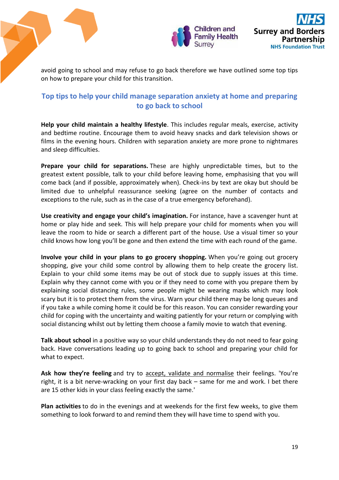

avoid going to school and may refuse to go back therefore we have outlined some top tips on how to prepare your child for this transition.

# **Top tips to help your child manage separation anxiety at home and preparing to go back to school**

**Help your child maintain a healthy lifestyle**. This includes regular meals, exercise, activity and bedtime routine. Encourage them to avoid heavy snacks and dark television shows or films in the evening hours. Children with separation anxiety are more prone to nightmares and sleep difficulties.

**Prepare your child for separations.** These are highly unpredictable times, but to the greatest extent possible, talk to your child before leaving home, emphasising that you will come back (and if possible, approximately when). Check-ins by text are okay but should be limited due to unhelpful reassurance seeking (agree on the number of contacts and exceptions to the rule, such as in the case of a true emergency beforehand).

**Use creativity and engage your child's imagination.** For instance, have a scavenger hunt at home or play hide and seek. This will help prepare your child for moments when you will leave the room to hide or search a different part of the house. Use a visual timer so your child knows how long you'll be gone and then extend the time with each round of the game.

**Involve your child in your plans to go grocery shopping.** When you're going out grocery shopping, give your child some control by allowing them to help create the grocery list. Explain to your child some items may be out of stock due to supply issues at this time. Explain why they cannot come with you or if they need to come with you prepare them by explaining social distancing rules, some people might be wearing masks which may look scary but it is to protect them from the virus. Warn your child there may be long queues and if you take a while coming home it could be for this reason. You can consider rewarding your child for coping with the uncertainty and waiting patiently for your return or complying with social distancing whilst out by letting them choose a family movie to watch that evening.

**Talk about school** in a positive way so your child understands they do not need to fear going back. Have conversations leading up to going back to school and preparing your child for what to expect.

Ask how they're feeling and try to accept, validate and normalise their feelings. 'You're right, it is a bit nerve-wracking on your first day back – same for me and work. I bet there are 15 other kids in your class feeling exactly the same.'

**Plan activities** to do in the evenings and at weekends for the first few weeks, to give them something to look forward to and remind them they will have time to spend with you.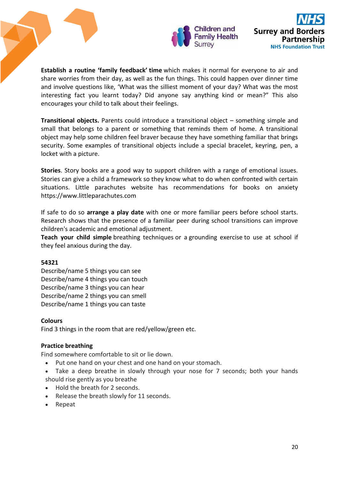

**Establish a routine 'family feedback' time** which makes it normal for everyone to air and share worries from their day, as well as the fun things. This could happen over dinner time and involve questions like, 'What was the silliest moment of your day? What was the most interesting fact you learnt today? Did anyone say anything kind or mean?" This also encourages your child to talk about their feelings.

**Transitional objects.** Parents could introduce a transitional object – something simple and small that belongs to a parent or something that reminds them of home. A transitional object may help some children feel braver because they have something familiar that brings security. Some examples of transitional objects include a special bracelet, keyring, pen, a locket with a picture.

**Stories**. Story books are a good way to support children with a range of emotional issues. Stories can give a child a framework so they know what to do when confronted with certain situations. Little parachutes website has recommendations for books on anxiety [https://www.littleparachutes.com](https://www.littleparachutes.com/)

If safe to do so **arrange a play date** with one or more familiar peers before school starts. Research shows that the presence of a familiar peer during school transitions can improve children's academic and emotional adjustment.

**Teach your child simple** [breathing techniques](https://youngminds.org.uk/blog/what-to-do-if-your-child-is-anxious-about-going-back-to-school/#breathing-techniques-and-grounding-exercises) or a [grounding exercise](https://youngminds.org.uk/blog/what-to-do-if-your-child-is-anxious-about-going-back-to-school/#breathing-techniques-and-grounding-exercises) to use at school if they feel anxious during the day.

### **54321**

Describe/name 5 things you can see Describe/name 4 things you can touch Describe/name 3 things you can hear Describe/name 2 things you can smell Describe/name 1 things you can taste

### **Colours**

Find 3 things in the room that are red/yellow/green etc.

# **Practice breathing**

Find somewhere comfortable to sit or lie down.

- Put one hand on your chest and one hand on your stomach.
- Take a deep breathe in slowly through your nose for 7 seconds; both your hands should rise gently as you breathe
- Hold the breath for 2 seconds.
- Release the breath slowly for 11 seconds.
- Repeat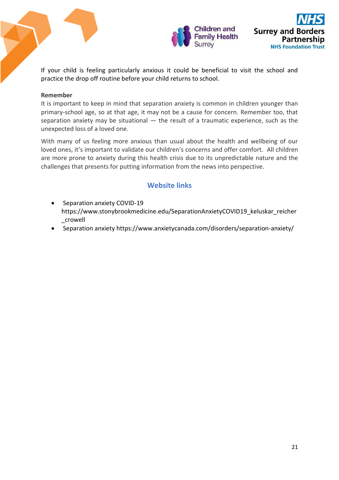

If your child is feeling particularly anxious it could be beneficial to visit the school and practice the drop off routine before your child returns to school.

## **Remember**

It is important to keep in mind that separation anxiety is common in children younger than primary-school age, so at that age, it may not be a cause for concern. Remember too, that separation anxiety may be situational — the result of a traumatic experience, such as the unexpected loss of a loved one.

With many of us feeling more anxious than usual about the health and wellbeing of our loved ones, it's important to validate our children's concerns and offer comfort. All children are more prone to anxiety during this health crisis due to its unpredictable nature and the challenges that presents for putting information from the news into perspective.

# **Website links**

- Separation anxiety COVID-19 [https://www.stonybrookmedicine.edu/SeparationAnxietyCOVID19\\_keluskar\\_reicher](https://www.stonybrookmedicine.edu/SeparationAnxietyCOVID19_keluskar_reicher_crowell) [\\_crowell](https://www.stonybrookmedicine.edu/SeparationAnxietyCOVID19_keluskar_reicher_crowell)
- Separation anxiety https://www.anxietycanada.com/disorders/separation-anxiety/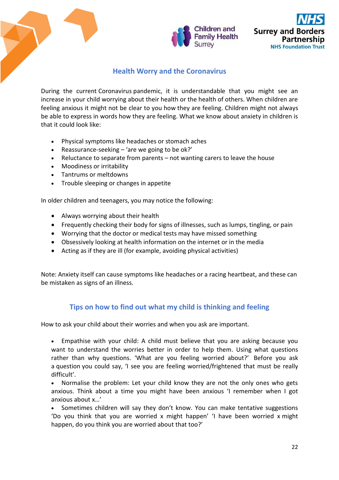

# **Health Worry and the Coronavirus**

During the current Coronavirus pandemic, it is understandable that you might see an increase in your child worrying about their health or the health of others. When children are feeling anxious it might not be clear to you how they are feeling. Children might not always be able to express in words how they are feeling. What we know about anxiety in children is that it could look like:

- Physical symptoms like headaches or stomach aches
- Reassurance-seeking  $-$  'are we going to be ok?'
- Reluctance to separate from parents not wanting carers to leave the house
- Moodiness or irritability
- Tantrums or meltdowns
- Trouble sleeping or changes in appetite

In older children and teenagers, you may notice the following:

- Always worrying about their health
- Frequently checking their body for signs of illnesses, such as lumps, tingling, or pain
- Worrying that the doctor or medical tests may have missed something
- Obsessively looking at health information on the internet or in the media
- Acting as if they are ill (for example, avoiding physical activities)

Note: Anxiety itself can cause symptoms like headaches or a racing heartbeat, and these can be mistaken as signs of an illness.

# **Tips on how to find out what my child is thinking and feeling**

How to ask your child about their worries and when you ask are important.

 Empathise with your child: A child must believe that you are asking because you want to understand the worries better in order to help them. Using what questions rather than why questions. 'What are you feeling worried about?' Before you ask a question you could say, 'I see you are feeling worried/frightened that must be really difficult'.

• Normalise the problem: Let your child know they are not the only ones who gets anxious. Think about a time you might have been anxious 'I remember when I got anxious about x…'

 Sometimes children will say they don't know. You can make tentative suggestions 'Do you think that you are worried x might happen' 'I have been worried x might happen, do you think you are worried about that too?'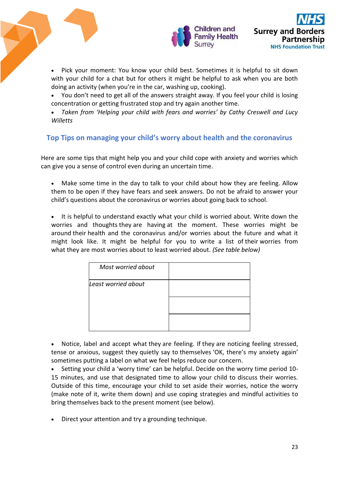

 Pick your moment: You know your child best. Sometimes it is helpful to sit down with your child for a chat but for others it might be helpful to ask when you are both doing an activity (when you're in the car, washing up, cooking).

- You don't need to get all of the answers straight away. If you feel your child is losing concentration or getting frustrated stop and try again another time.
- *Taken from 'Helping your child with fears and worries' by Cathy Creswell and Lucy Willetts*

# **Top Tips on managing your child's worry about health and the coronavirus**

Here are some tips that might help you and your child cope with anxiety and worries which can give you a sense of control even during an uncertain time.

- Make some time in the day to talk to your child about how they are feeling. Allow them to be open if they have fears and seek answers. Do not be afraid to answer your child's questions about the coronavirus or worries about going back to school.
- It is helpful to understand exactly what your child is worried about. Write down the worries and thoughts they are having at the moment. These worries might be around their health and the coronavirus and/or worries about the future and what it might look like. It might be helpful for you to write a list of their worries from what they are most worries about to least worried about. *(See table below)*

| Most worried about  |  |
|---------------------|--|
| Least worried about |  |
|                     |  |
|                     |  |

 Notice, label and accept what they are feeling. If they are noticing feeling stressed, tense or anxious, suggest they quietly say to themselves 'OK, there's my anxiety again' sometimes putting a label on what we feel helps reduce our concern.

 Setting your child a 'worry time' can be helpful. Decide on the worry time period 10- 15 minutes, and use that designated time to allow your child to discuss their worries. Outside of this time, encourage your child to set aside their worries, notice the worry (make note of it, write them down) and use coping strategies and mindful activities to bring themselves back to the present moment (see below).

Direct your attention and try a grounding technique.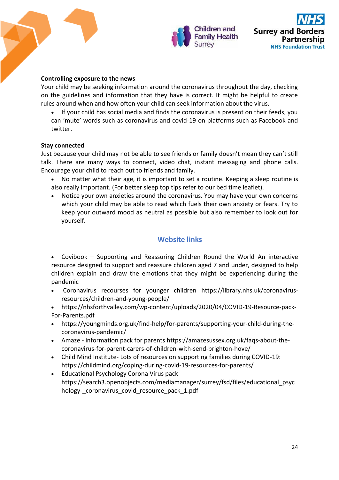

## **Controlling exposure to the news**

Your child may be seeking information around the coronavirus throughout the day, checking on the guidelines and information that they have is correct. It might be helpful to create rules around when and how often your child can seek information about the virus.

 If your child has social media and finds the coronavirus is present on their feeds, you can 'mute' words such as coronavirus and covid-19 on platforms such as Facebook and twitter.

### **Stay connected**

Just because your child may not be able to see friends or family doesn't mean they can't still talk. There are many ways to connect, video chat, instant messaging and phone calls. Encourage your child to reach out to friends and family.

- No matter what their age, it is important to set a routine. Keeping a sleep routine is also really important. (For better sleep top tips refer to our bed time leaflet).
- Notice your own anxieties around the coronavirus. You may have your own concerns which your child may be able to read which fuels their own anxiety or fears. Try to keep your outward mood as neutral as possible but also remember to look out for yourself.

# **Website links**

 Covibook – [Supporting and Reassuring Children Round the World](https://rcpsych-mail.com/43MR-SZ24-52OPH0-MK63P-1/c.aspx)An interactive resource designed to support and reassure children aged 7 and under, designed to help children explain and draw the emotions that they might be experiencing during the pandemic 

- Coronavirus recourses for younger children https://library.nhs.uk/coronavirusresources/children-and-young-people/
- https://nhsforthvalley.com/wp-content/uploads/2020/04/COVID-19-Resource-pack-For-Parents.pdf
- [https://youngminds.org.uk/find-help/for-parents/supporting-your-child-during-the](https://youngminds.org.uk/find-help/for-parents/supporting-your-child-during-the-coronavirus-pandemic/)[coronavirus-pandemic/](https://youngminds.org.uk/find-help/for-parents/supporting-your-child-during-the-coronavirus-pandemic/)
- Amaze information pack for parents [https://amazesussex.org.uk/faqs-about-the](https://eur02.safelinks.protection.outlook.com/?url=https%3A%2F%2Famazesussex.org.uk%2Ffaqs-about-the-coronavirus-for-parent-carers-of-children-with-send-brighton-hove%2F&data=02%7C01%7CAAllard%40ncb.org.uk%7C92a7a8384aa149ae85e808d7cb487833%7Cadc87355e29c4519954f95e35c776178%7C0%7C0%7C637201384417448135&sdata=vNjEFd%2F0%2BTMSMYvl2HRnHO02RnJpLmMDUdkpu2oDS8w%3D&reserved=0)[coronavirus-for-parent-carers-of-children-with-send-brighton-hove/](https://eur02.safelinks.protection.outlook.com/?url=https%3A%2F%2Famazesussex.org.uk%2Ffaqs-about-the-coronavirus-for-parent-carers-of-children-with-send-brighton-hove%2F&data=02%7C01%7CAAllard%40ncb.org.uk%7C92a7a8384aa149ae85e808d7cb487833%7Cadc87355e29c4519954f95e35c776178%7C0%7C0%7C637201384417448135&sdata=vNjEFd%2F0%2BTMSMYvl2HRnHO02RnJpLmMDUdkpu2oDS8w%3D&reserved=0)
- Child Mind Institute- Lots of resources on supporting families during COVID-19: <https://childmind.org/coping-during-covid-19-resources-for-parents/>
- Educational Psychology Corona Virus pack [https://search3.openobjects.com/mediamanager/surrey/fsd/files/educational\\_psyc](https://search3.openobjects.com/mediamanager/surrey/fsd/files/educational_psychology-_coronavirus_covid_resource_pack_1.pdf) hology- coronavirus covid resource pack 1.pdf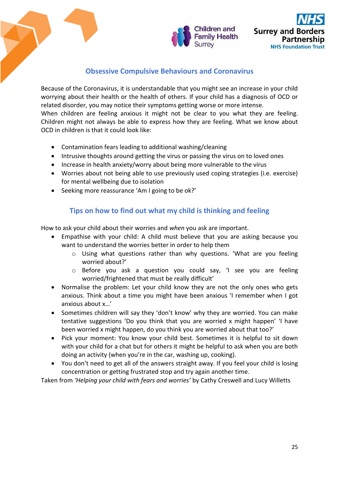

# **Obsessive Compulsive Behaviours and Coronavirus**

Because of the Coronavirus, it is understandable that you might see an increase in your child worrying about their health or the health of others. If your child has a diagnosis of OCD or related disorder, you may notice their symptoms getting worse or more intense. When children are feeling anxious it might not be clear to you what they are feeling. Children might not always be able to express how they are feeling. What we know about OCD in children is that it could look like:

- Contamination fears leading to additional washing/cleaning
- Intrusive thoughts around getting the virus or passing the virus on to loved ones
- Increase in health anxiety/worry about being more vulnerable to the virus
- Worries about not being able to use previously used coping strategies (i.e. exercise) for mental wellbeing due to isolation
- Seeking more reassurance 'Am I going to be ok?'

# **Tips on how to find out what my child is thinking and feeling**

How to ask your child about their worries and *when* you ask are important.

- Empathise with your child: A child must believe that you are asking because you want to understand the worries better in order to help them
	- o Using what questions rather than why questions. 'What are you feeling worried about?'
	- o Before you ask a question you could say, 'I see you are feeling worried/frightened that must be really difficult'
- Normalise the problem: Let your child know they are not the only ones who gets anxious. Think about a time you might have been anxious 'I remember when I got anxious about x…'
- Sometimes children will say they 'don't know' why they are worried. You can make tentative suggestions 'Do you think that you are worried x might happen' 'I have been worried x might happen, do you think you are worried about that too?'
- Pick your moment: You know your child best. Sometimes it is helpful to sit down with your child for a chat but for others it might be helpful to ask when you are both doing an activity (when you're in the car, washing up, cooking).
- You don't need to get all of the answers straight away. If you feel your child is losing concentration or getting frustrated stop and try again another time.

Taken from *'Helping your child with fears and worries'* by Cathy Creswell and Lucy Willetts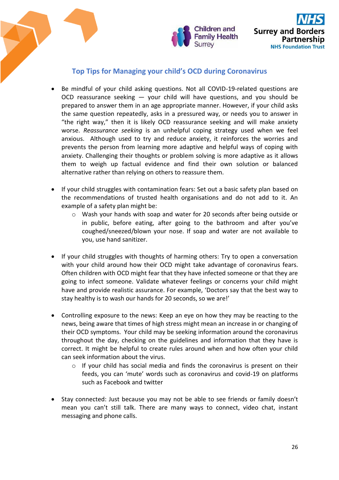



# **Top Tips for Managing your child's OCD during Coronavirus**

- Be mindful of your child asking questions. Not all COVID-19-related questions are OCD reassurance seeking — your child will have questions, and you should be prepared to answer them in an age appropriate manner. However, if your child asks the same question repeatedly, asks in a pressured way, or needs you to answer in "the right way," then it is likely OCD reassurance seeking and will make anxiety worse. *Reassurance seeking* is an unhelpful coping strategy used when we feel anxious. Although used to try and reduce anxiety, it reinforces the worries and prevents the person from learning more adaptive and helpful ways of coping with anxiety. Challenging their thoughts or problem solving is more adaptive as it allows them to weigh up factual evidence and find their own solution or balanced alternative rather than relying on others to reassure them.
- If your child struggles with contamination fears: Set out a basic safety plan based on the recommendations of trusted health organisations and do not add to it. An example of a safety plan might be:
	- o Wash your hands with soap and water for 20 seconds after being outside or in public, before eating, after going to the bathroom and after you've coughed/sneezed/blown your nose. If soap and water are not available to you, use hand sanitizer.
- If your child struggles with thoughts of harming others: Try to open a conversation with your child around how their OCD might take advantage of coronavirus fears. Often children with OCD might fear that they have infected someone or that they are going to infect someone. Validate whatever feelings or concerns your child might have and provide realistic assurance. For example, 'Doctors say that the best way to stay healthy is to wash our hands for 20 seconds, so we are!'
- Controlling exposure to the news: Keep an eye on how they may be reacting to the news, being aware that times of high stress might mean an increase in or changing of their OCD symptoms. Your child may be seeking information around the coronavirus throughout the day, checking on the guidelines and information that they have is correct. It might be helpful to create rules around when and how often your child can seek information about the virus.
	- $\circ$  If your child has social media and finds the coronavirus is present on their feeds, you can 'mute' words such as coronavirus and covid-19 on platforms such as Facebook and twitter
- Stay connected: Just because you may not be able to see friends or family doesn't mean you can't still talk. There are many ways to connect, video chat, instant messaging and phone calls.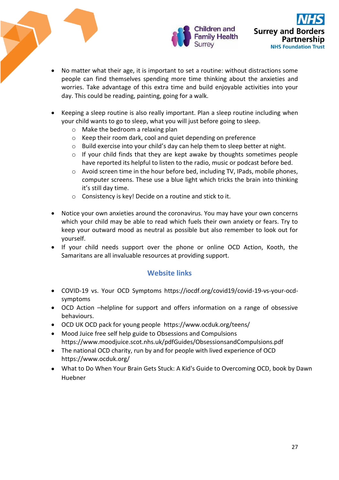

- No matter what their age, it is important to set a routine: without distractions some people can find themselves spending more time thinking about the anxieties and worries. Take advantage of this extra time and build enjoyable activities into your day. This could be reading, painting, going for a walk.
- Keeping a sleep routine is also really important. Plan a sleep routine including when your child wants to go to sleep, what you will just before going to sleep.
	- o Make the bedroom a relaxing plan
	- o Keep their room dark, cool and quiet depending on preference
	- o Build exercise into your child's day can help them to sleep better at night.
	- $\circ$  If your child finds that they are kept awake by thoughts sometimes people have reported its helpful to listen to the radio, music or podcast before bed.
	- o Avoid screen time in the hour before bed, including TV, IPads, mobile phones, computer screens. These use a blue light which tricks the brain into thinking it's still day time.
	- o Consistency is key! Decide on a routine and stick to it.
- Notice your own anxieties around the coronavirus. You may have your own concerns which your child may be able to read which fuels their own anxiety or fears. Try to keep your outward mood as neutral as possible but also remember to look out for yourself.
- If your child needs support over the phone or online OCD Action, Kooth, the Samaritans are all invaluable resources at providing support.

# **Website links**

- COVID-19 vs. Your OCD Symptoms https://iocdf.org/covid19/covid-19-vs-your-ocdsymptoms
- OCD Action –helpline for support and offers information on a range of obsessive behaviours.
- OCD UK OCD pack for young people <https://www.ocduk.org/teens/>
- Mood Juice free self help guide to Obsessions and Compulsions <https://www.moodjuice.scot.nhs.uk/pdfGuides/ObsessionsandCompulsions.pdf>
- The national OCD charity, run by and for people with lived experience of OCD <https://www.ocduk.org/>
- What to Do When Your Brain Gets Stuck: A Kid's Guide to Overcoming OCD, book by Dawn Huebner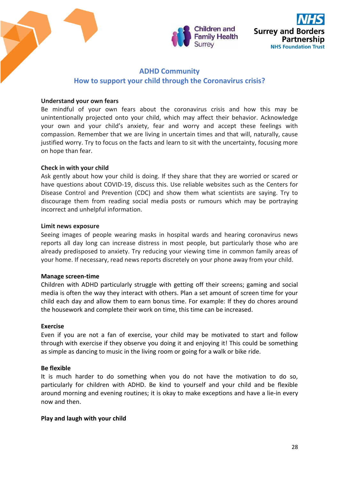



# **ADHD Community How to support your child through the Coronavirus crisis?**

## **Understand your own fears**

Be mindful of your own fears about the coronavirus crisis and how this may be unintentionally projected onto your child, which may affect their behavior. Acknowledge your own and your child's anxiety, fear and worry and accept these feelings with compassion. Remember that we are living in uncertain times and that will, naturally, cause justified worry. Try to focus on the facts and learn to sit with the uncertainty, focusing more on hope than fear.

## **Check in with your child**

Ask gently about how your child is doing. If they share that they are worried or scared or have questions about COVID-19, discuss this. Use reliable websites such as the Centers for Disease Control and Prevention (CDC) and show them what scientists are saying. Try to discourage them from reading social media posts or rumours which may be portraying incorrect and unhelpful information.

### **Limit news exposure**

Seeing images of people wearing masks in hospital wards and hearing coronavirus news reports all day long can increase distress in most people, but particularly those who are already predisposed to anxiety. Try reducing your viewing time in common family areas of your home. If necessary, read news reports discretely on your phone away from your child.

### **Manage screen-time**

Children with ADHD particularly struggle with getting off their screens; gaming and social media is often the way they interact with others. Plan a set amount of screen time for your child each day and allow them to earn bonus time. For example: If they do chores around the housework and complete their work on time, this time can be increased.

### **Exercise**

Even if you are not a fan of exercise, your child may be motivated to start and follow through with exercise if they observe you doing it and enjoying it! This could be something as simple as dancing to music in the living room or going for a walk or bike ride.

# **Be flexible**

It is much harder to do something when you do not have the motivation to do so, particularly for children with ADHD. Be kind to yourself and your child and be flexible around morning and evening routines; it is okay to make exceptions and have a lie-in every now and then.

# **Play and laugh with your child**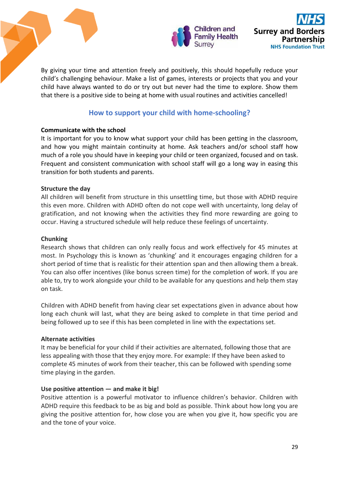

By giving your time and attention freely and positively, this should hopefully reduce your child's challenging behaviour. Make a list of games, interests or projects that you and your child have always wanted to do or try out but never had the time to explore. Show them that there is a positive side to being at home with usual routines and activities cancelled!

# **How to support your child with home-schooling?**

## **Communicate with the school**

It is important for you to know what support your child has been getting in the classroom, and how you might maintain continuity at home. Ask teachers and/or school staff how much of a role you should have in keeping your child or teen organized, focused and on task. Frequent and consistent communication with school staff will go a long way in easing this transition for both students and parents.

## **Structure the day**

All children will benefit from structure in this unsettling time, but those with ADHD require this even more. Children with ADHD often do not cope well with uncertainty, long delay of gratification, and not knowing when the activities they find more rewarding are going to occur. Having a structured schedule will help reduce these feelings of uncertainty.

### **Chunking**

Research shows that children can only really focus and work effectively for 45 minutes at most. In Psychology this is known as 'chunking' and it encourages engaging children for a short period of time that is realistic for their attention span and then allowing them a break. You can also offer incentives (like bonus screen time) for the completion of work. If you are able to, try to work alongside your child to be available for any questions and help them stay on task.

Children with ADHD benefit from having clear set expectations given in advance about how long each chunk will last, what they are being asked to complete in that time period and being followed up to see if this has been completed in line with the expectations set.

### **Alternate activities**

It may be beneficial for your child if their activities are alternated, following those that are less appealing with those that they enjoy more. For example: If they have been asked to complete 45 minutes of work from their teacher, this can be followed with spending some time playing in the garden.

# **Use positive attention — and make it big!**

Positive attention is a powerful motivator to influence children's behavior. Children with ADHD require this feedback to be as big and bold as possible. Think about how long you are giving the positive attention for, how close you are when you give it, how specific you are and the tone of your voice.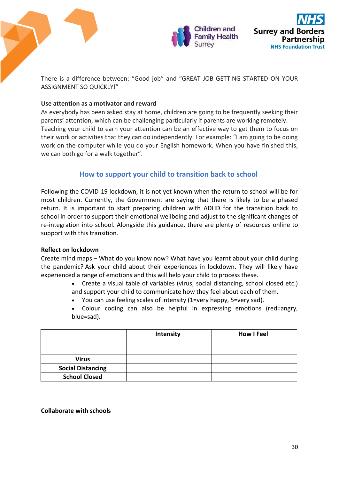

There is a difference between: "Good job" and "GREAT JOB GETTING STARTED ON YOUR ASSIGNMENT SO QUICKLY!"

## **Use attention as a motivator and reward**

As everybody has been asked stay at home, children are going to be frequently seeking their parents' attention, which can be challenging particularly if parents are working remotely. Teaching your child to earn your attention can be an effective way to get them to focus on their work or activities that they can do independently. For example: "I am going to be doing work on the computer while you do your English homework. When you have finished this, we can both go for a walk together".

# **How to support your child to transition back to school**

Following the COVID-19 lockdown, it is not yet known when the return to school will be for most children. Currently, the Government are saying that there is likely to be a phased return. It is important to start preparing children with ADHD for the transition back to school in order to support their emotional wellbeing and adjust to the significant changes of re-integration into school. Alongside this guidance, there are plenty of resources online to support with this transition.

# **Reflect on lockdown**

Create mind maps – What do you know now? What have you learnt about your child during the pandemic? Ask your child about their experiences in lockdown. They will likely have experienced a range of emotions and this will help your child to process these.

- Create a visual table of variables (virus, social distancing, school closed etc.) and support your child to communicate how they feel about each of them.
- You can use feeling scales of intensity (1=very happy, 5=very sad).
- Colour coding can also be helpful in expressing emotions (red=angry, blue=sad).

|                          | Intensity | <b>How I Feel</b> |
|--------------------------|-----------|-------------------|
| <b>Virus</b>             |           |                   |
| <b>Social Distancing</b> |           |                   |
| <b>School Closed</b>     |           |                   |

### **Collaborate with schools**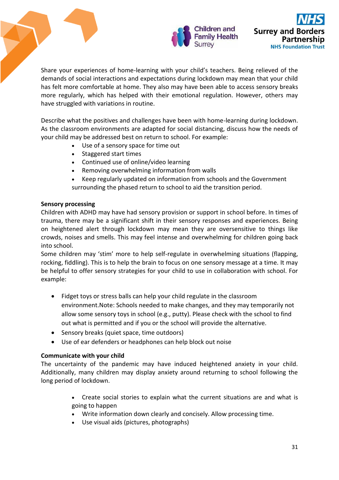

Share your experiences of home-learning with your child's teachers. Being relieved of the demands of social interactions and expectations during lockdown may mean that your child has felt more comfortable at home. They also may have been able to access sensory breaks more regularly, which has helped with their emotional regulation. However, others may have struggled with variations in routine.

Describe what the positives and challenges have been with home-learning during lockdown. As the classroom environments are adapted for social distancing, discuss how the needs of your child may be addressed best on return to school. For example:

- Use of a sensory space for time out
- Staggered start times
- Continued use of online/video learning
- Removing overwhelming information from walls
- Keep regularly updated on information from schools and the Government surrounding the phased return to school to aid the transition period.

### **Sensory processing**

Children with ADHD may have had sensory provision or support in school before. In times of trauma, there may be a significant shift in their sensory responses and experiences. Being on heightened alert through lockdown may mean they are oversensitive to things like crowds, noises and smells. This may feel intense and overwhelming for children going back into school.

Some children may 'stim' more to help self-regulate in overwhelming situations (flapping, rocking, fiddling). This is to help the brain to focus on one sensory message at a time. It may be helpful to offer sensory strategies for your child to use in collaboration with school. For example:

- Fidget toys or stress balls can help your child regulate in the classroom environment.Note: Schools needed to make changes, and they may temporarily not allow some sensory toys in school (e.g., putty). Please check with the school to find out what is permitted and if you or the school will provide the alternative.
- Sensory breaks (quiet space, time outdoors)
- Use of ear defenders or headphones can help block out noise

### **Communicate with your child**

The uncertainty of the pandemic may have induced heightened anxiety in your child. Additionally, many children may display anxiety around returning to school following the long period of lockdown.

- Create social stories to explain what the current situations are and what is going to happen
- Write information down clearly and concisely. Allow processing time.
- Use visual aids (pictures, photographs)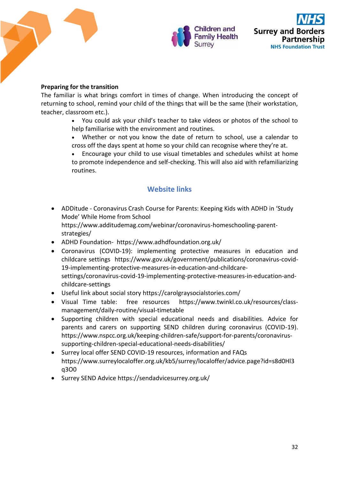

## **Preparing for the transition**

The familiar is what brings comfort in times of change. When introducing the concept of returning to school, remind your child of the things that will be the same (their workstation, teacher, classroom etc.).

> You could ask your child's teacher to take videos or photos of the school to help familiarise with the environment and routines.

> Whether or not you know the date of return to school, use a calendar to cross off the days spent at home so your child can recognise where they're at.

> Encourage your child to use visual timetables and schedules whilst at home to promote independence and self-checking. This will also aid with refamiliarizing routines.

# **Website links**

- ADDitude Coronavirus Crash Course for Parents: Keeping Kids with ADHD in 'Study Mode' While Home from School [https://www.additudemag.com/webinar/coronavirus-homeschooling-parent](https://www.additudemag.com/webinar/coronavirus-homeschooling-parent-strategies/)[strategies/](https://www.additudemag.com/webinar/coronavirus-homeschooling-parent-strategies/)
- ADHD Foundation- <https://www.adhdfoundation.org.uk/>
- Coronavirus (COVID-19): implementing protective measures in education and childcare settings[https://www.gov.uk/government/publications/coronavirus-covid-](https://www.gov.uk/government/publications/coronavirus-covid-19-implementing-protective-measures-in-education-and-childcare-settings/coronavirus-covid-19-implementing-protective-measures-in-education-and-childcare-settings)[19-implementing-protective-measures-in-education-and-childcare](https://www.gov.uk/government/publications/coronavirus-covid-19-implementing-protective-measures-in-education-and-childcare-settings/coronavirus-covid-19-implementing-protective-measures-in-education-and-childcare-settings)[settings/coronavirus-covid-19-implementing-protective-measures-in-education-and](https://www.gov.uk/government/publications/coronavirus-covid-19-implementing-protective-measures-in-education-and-childcare-settings/coronavirus-covid-19-implementing-protective-measures-in-education-and-childcare-settings)[childcare-settings](https://www.gov.uk/government/publications/coronavirus-covid-19-implementing-protective-measures-in-education-and-childcare-settings/coronavirus-covid-19-implementing-protective-measures-in-education-and-childcare-settings)
- Useful link about social story<https://carolgraysocialstories.com/>
- Visual Time table: free resources [https://www.twinkl.co.uk/resources/class](https://www.twinkl.co.uk/resources/class-management/daily-routine/visual-timetable)[management/daily-routine/visual-timetable](https://www.twinkl.co.uk/resources/class-management/daily-routine/visual-timetable)
- Supporting children with special educational needs and disabilities. Advice for parents and carers on supporting SEND children during coronavirus (COVID-19). [https://www.nspcc.org.uk/keeping-children-safe/support-for-parents/coronavirus](https://www.nspcc.org.uk/keeping-children-safe/support-for-parents/coronavirus-supporting-children-special-educational-needs-disabilities/)[supporting-children-special-educational-needs-disabilities/](https://www.nspcc.org.uk/keeping-children-safe/support-for-parents/coronavirus-supporting-children-special-educational-needs-disabilities/)
- Surrey local offer SEND COVID-19 resources, information and FAQs [https://www.surreylocaloffer.org.uk/kb5/surrey/localoffer/advice.page?id=s8d0Hl3](https://www.surreylocaloffer.org.uk/kb5/surrey/localoffer/advice.page?id=s8d0Hl3q3O0) [q3O0](https://www.surreylocaloffer.org.uk/kb5/surrey/localoffer/advice.page?id=s8d0Hl3q3O0)
- Surrey SEND Advice https://sendadvicesurrey.org.uk/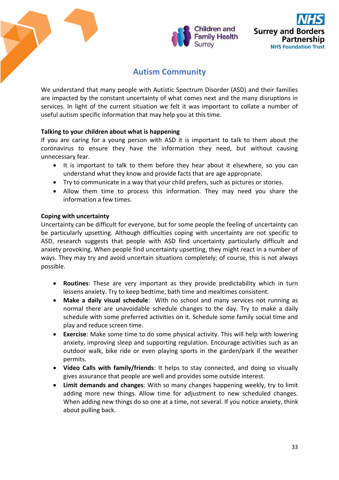

# **Autism Community**

We understand that many people with Autistic Spectrum Disorder (ASD) and their families are impacted by the constant uncertainty of what comes next and the many disruptions in services. In light of the current situation we felt it was important to collate a number of useful autism specific information that may help you at this time.

## **Talking to your children about what is happening**

If you are caring for a young person with ASD it is important to talk to them about the coronavirus to ensure they have the information they need, but without causing unnecessary fear.

- It is important to talk to them before they hear about it elsewhere, so you can understand what they know and provide facts that are age appropriate.
- Try to communicate in a way that your child prefers, such as pictures or stories.
- Allow them time to process this information. They may need you share the information a few times.

## **Coping with uncertainty**

Uncertainty can be difficult for everyone, but for some people the feeling of uncertainty can be particularly upsetting. Although difficulties coping with uncertainty are not specific to ASD, research suggests that people with ASD find uncertainty particularly difficult and anxiety provoking. When people find uncertainty upsetting, they might react in a number of ways. They may try and avoid uncertain situations completely; of course, this is not always possible.

- **Routines**: These are very important as they provide predictability which in turn lessens anxiety. Try to keep bedtime, bath time and mealtimes consistent.
- **Make a daily visual schedule**: With no school and many services not running as normal there are unavoidable schedule changes to the day. Try to make a daily schedule with some preferred activities on it. Schedule some family social time and play and reduce screen time.
- **Exercise**: Make some time to do some physical activity. This will help with lowering anxiety, improving sleep and supporting regulation. Encourage activities such as an outdoor walk, bike ride or even playing sports in the garden/park if the weather permits.
- **Video Calls with family/friends**: It helps to stay connected, and doing so visually gives assurance that people are well and provides some outside interest.
- **Limit demands and changes**: With so many changes happening weekly, try to limit adding more new things. Allow time for adjustment to new scheduled changes. When adding new things do so one at a time, not several. If you notice anxiety, think about pulling back.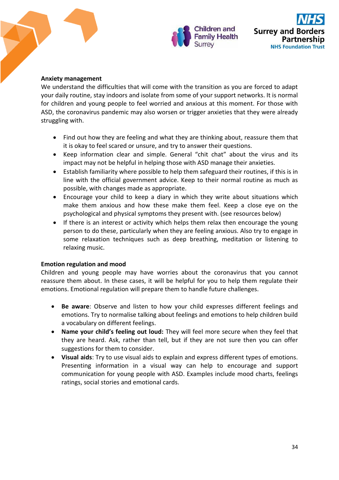

### **Anxiety management**

We understand the difficulties that will come with the transition as you are forced to adapt your daily routine, stay indoors and isolate from some of your support networks. It is normal for children and young people to feel worried and anxious at this moment. For those with ASD, the coronavirus pandemic may also worsen or trigger anxieties that they were already struggling with.

- Find out how they are feeling and what they are thinking about, reassure them that it is okay to feel scared or unsure, and try to answer their questions.
- Keep information clear and simple. General "chit chat" about the virus and its impact may not be helpful in helping those with ASD manage their anxieties.
- Establish familiarity where possible to help them safeguard their routines, if this is in line with the official government advice. Keep to their normal routine as much as possible, with changes made as appropriate.
- Encourage your child to keep a diary in which they write about situations which make them anxious and how these make them feel. Keep a close eye on the psychological and physical symptoms they present with. (see resources below)
- If there is an interest or activity which helps them relax then encourage the young person to do these, particularly when they are feeling anxious. Also try to engage in some relaxation techniques such as deep breathing, meditation or listening to relaxing music.

### **Emotion regulation and mood**

Children and young people may have worries about the coronavirus that you cannot reassure them about. In these cases, it will be helpful for you to help them regulate their emotions. Emotional regulation will prepare them to handle future challenges.

- **Be aware**: Observe and listen to how your child expresses different feelings and emotions. Try to normalise talking about feelings and emotions to help children build a vocabulary on different feelings.
- **Name your child's feeling out loud:** They will feel more secure when they feel that they are heard. Ask, rather than tell, but if they are not sure then you can offer suggestions for them to consider.
- **Visual aids**: Try to use visual aids to explain and express different types of emotions. Presenting information in a visual way can help to encourage and support communication for young people with ASD. Examples include mood charts, feelings ratings, social stories and emotional cards.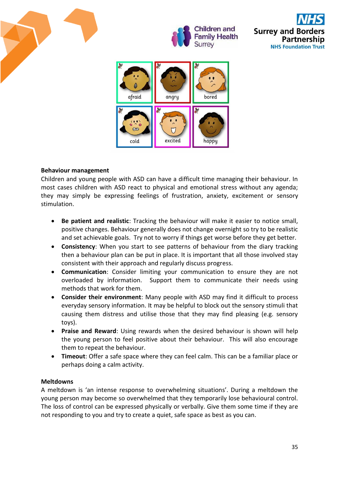







## **Behaviour management**

Children and young people with ASD can have a difficult time managing their behaviour. In most cases children with ASD react to physical and emotional stress without any agenda; they may simply be expressing feelings of frustration, anxiety, excitement or sensory stimulation.

- **Be patient and realistic**: Tracking the behaviour will make it easier to notice small, positive changes. Behaviour generally does not change overnight so try to be realistic and set achievable goals. Try not to worry if things get worse before they get better.
- **Consistency**: When you start to see patterns of behaviour from the diary tracking then a behaviour plan can be put in place. It is important that all those involved stay consistent with their approach and regularly discuss progress.
- **Communication**: Consider limiting your communication to ensure they are not overloaded by information. Support them to communicate their needs using methods that work for them.
- **Consider their environment**: Many people with ASD may find it difficult to process everyday sensory information. It may be helpful to block out the sensory stimuli that causing them distress and utilise those that they may find pleasing (e.g. sensory toys).
- **Praise and Reward**: Using rewards when the desired behaviour is shown will help the young person to feel positive about their behaviour. This will also encourage them to repeat the behaviour.
- **Timeout**: Offer a safe space where they can feel calm. This can be a familiar place or perhaps doing a calm activity.

### **Meltdowns**

A meltdown is 'an intense response to overwhelming situations'. During a meltdown the young person may become so overwhelmed that they temporarily lose behavioural control. The loss of control can be expressed physically or verbally. Give them some time if they are not responding to you and try to create a quiet, safe space as best as you can.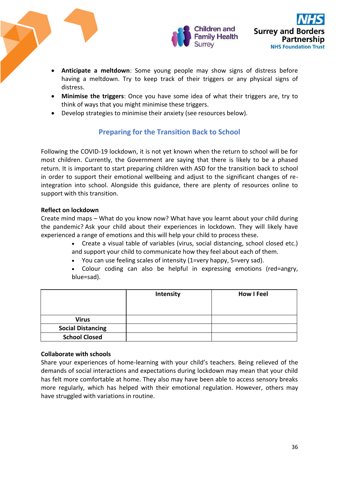

- **Anticipate a meltdown**: Some young people may show signs of distress before having a meltdown. Try to keep track of their triggers or any physical signs of distress.
- **Minimise the triggers**: Once you have some idea of what their triggers are, try to think of ways that you might minimise these triggers.
- Develop strategies to minimise their anxiety (see resources below).

# **Preparing for the Transition Back to School**

Following the COVID-19 lockdown, it is not yet known when the return to school will be for most children. Currently, the Government are saying that there is likely to be a phased return. It is important to start preparing children with ASD for the transition back to school in order to support their emotional wellbeing and adjust to the significant changes of reintegration into school. Alongside this guidance, there are plenty of resources online to support with this transition.

# **Reflect on lockdown**

Create mind maps – What do you know now? What have you learnt about your child during the pandemic? Ask your child about their experiences in lockdown. They will likely have experienced a range of emotions and this will help your child to process these.

- Create a visual table of variables (virus, social distancing, school closed etc.) and support your child to communicate how they feel about each of them.
- You can use feeling scales of intensity (1=very happy, 5=very sad).

 Colour coding can also be helpful in expressing emotions (red=angry, blue=sad).

|                          | Intensity | <b>How I Feel</b> |
|--------------------------|-----------|-------------------|
| <b>Virus</b>             |           |                   |
| <b>Social Distancing</b> |           |                   |
| <b>School Closed</b>     |           |                   |

# **Collaborate with schools**

Share your experiences of home-learning with your child's teachers. Being relieved of the demands of social interactions and expectations during lockdown may mean that your child has felt more comfortable at home. They also may have been able to access sensory breaks more regularly, which has helped with their emotional regulation. However, others may have struggled with variations in routine.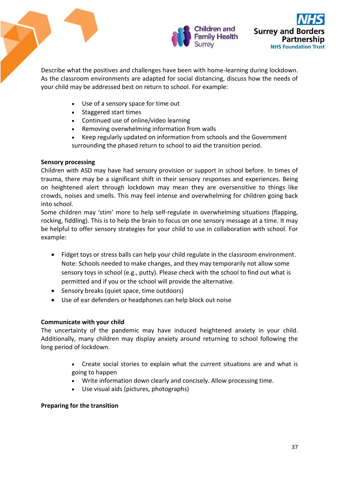

Describe what the positives and challenges have been with home-learning during lockdown. As the classroom environments are adapted for social distancing, discuss how the needs of your child may be addressed best on return to school. For example:

- Use of a sensory space for time out
- Staggered start times
- Continued use of online/video learning
- Removing overwhelming information from walls
- Keep regularly updated on information from schools and the Government surrounding the phased return to school to aid the transition period.

### **Sensory processing**

Children with ASD may have had sensory provision or support in school before. In times of trauma, there may be a significant shift in their sensory responses and experiences. Being on heightened alert through lockdown may mean they are oversensitive to things like crowds, noises and smells. This may feel intense and overwhelming for children going back into school.

Some children may 'stim' more to help self-regulate in overwhelming situations (flapping, rocking, fiddling). This is to help the brain to focus on one sensory message at a time. It may be helpful to offer sensory strategies for your child to use in collaboration with school. For example:

- Fidget toys or stress balls can help your child regulate in the classroom environment. Note: Schools needed to make changes, and they may temporarily not allow some sensory toys in school (e.g., putty). Please check with the school to find out what is permitted and if you or the school will provide the alternative.
- Sensory breaks (quiet space, time outdoors)
- Use of ear defenders or headphones can help block out noise

### **Communicate with your child**

The uncertainty of the pandemic may have induced heightened anxiety in your child. Additionally, many children may display anxiety around returning to school following the long period of lockdown.

- Create social stories to explain what the current situations are and what is going to happen
- Write information down clearly and concisely. Allow processing time.
- Use visual aids (pictures, photographs)

### **Preparing for the transition**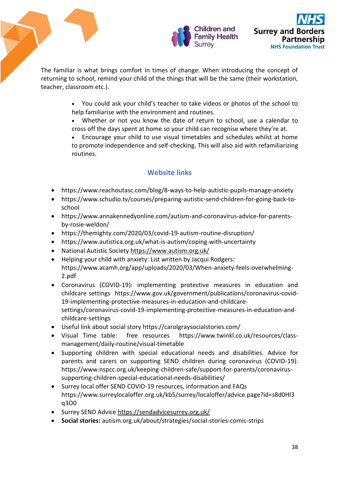

The familiar is what brings comfort in times of change. When introducing the concept of returning to school, remind your child of the things that will be the same (their workstation, teacher, classroom etc.).

- You could ask your child's teacher to take videos or photos of the school to help familiarise with the environment and routines.
- Whether or not you know the date of return to school, use a calendar to cross off the days spent at home so your child can recognise where they're at.
- Encourage your child to use visual timetables and schedules whilst at home to promote independence and self-checking. This will also aid with refamiliarizing routines.

# **Website links**

- <https://www.reachoutasc.com/blog/8-ways-to-help-autistic-pupils-manage-anxiety>
- [https://www.schudio.tv/courses/preparing-autistic-send-children-for-going-back-to](https://www.schudio.tv/courses/preparing-autistic-send-children-for-going-back-to-school)[school](https://www.schudio.tv/courses/preparing-autistic-send-children-for-going-back-to-school)
- [https://www.annakennedyonline.com/autism-and-coronavirus-advice-for-parents](https://www.annakennedyonline.com/autism-and-coronavirus-advice-for-parents-by-rosie-weldon/)[by-rosie-weldon/](https://www.annakennedyonline.com/autism-and-coronavirus-advice-for-parents-by-rosie-weldon/)
- <https://themighty.com/2020/03/covid-19-autism-routine-disruption/>
- <https://www.autistica.org.uk/what-is-autism/coping-with-uncertainty>
- National Autistic Society<https://www.autism.org.uk/>
- Helping your child with anxiety: List written by Jacqui Rodgers: [https://www.acamh.org/app/uploads/2020/03/When-anxiety-feels-overwhelming-](https://www.acamh.org/app/uploads/2020/03/When-anxiety-feels-overwhelming-2.pdf)[2.pdf](https://www.acamh.org/app/uploads/2020/03/When-anxiety-feels-overwhelming-2.pdf)
- Coronavirus (COVID-19): implementing protective measures in education and childcare settings[https://www.gov.uk/government/publications/coronavirus-covid-](https://www.gov.uk/government/publications/coronavirus-covid-19-implementing-protective-measures-in-education-and-childcare-settings/coronavirus-covid-19-implementing-protective-measures-in-education-and-childcare-settings)[19-implementing-protective-measures-in-education-and-childcare](https://www.gov.uk/government/publications/coronavirus-covid-19-implementing-protective-measures-in-education-and-childcare-settings/coronavirus-covid-19-implementing-protective-measures-in-education-and-childcare-settings)[settings/coronavirus-covid-19-implementing-protective-measures-in-education-and](https://www.gov.uk/government/publications/coronavirus-covid-19-implementing-protective-measures-in-education-and-childcare-settings/coronavirus-covid-19-implementing-protective-measures-in-education-and-childcare-settings)[childcare-settings](https://www.gov.uk/government/publications/coronavirus-covid-19-implementing-protective-measures-in-education-and-childcare-settings/coronavirus-covid-19-implementing-protective-measures-in-education-and-childcare-settings)
- Useful link about social story<https://carolgraysocialstories.com/>
- Visual Time table: free resources [https://www.twinkl.co.uk/resources/class](https://www.twinkl.co.uk/resources/class-management/daily-routine/visual-timetable)[management/daily-routine/visual-timetable](https://www.twinkl.co.uk/resources/class-management/daily-routine/visual-timetable)
- Supporting children with special educational needs and disabilities. Advice for parents and carers on supporting SEND children during coronavirus (COVID-19). [https://www.nspcc.org.uk/keeping-children-safe/support-for-parents/coronavirus](https://www.nspcc.org.uk/keeping-children-safe/support-for-parents/coronavirus-supporting-children-special-educational-needs-disabilities/)[supporting-children-special-educational-needs-disabilities/](https://www.nspcc.org.uk/keeping-children-safe/support-for-parents/coronavirus-supporting-children-special-educational-needs-disabilities/)
- Surrey local offer SEND COVID-19 resources, information and FAQs [https://www.surreylocaloffer.org.uk/kb5/surrey/localoffer/advice.page?id=s8d0Hl3](https://www.surreylocaloffer.org.uk/kb5/surrey/localoffer/advice.page?id=s8d0Hl3q3O0) [q3O0](https://www.surreylocaloffer.org.uk/kb5/surrey/localoffer/advice.page?id=s8d0Hl3q3O0)
- Surrey SEND Advic[e https://sendadvicesurrey.org.uk/](https://sendadvicesurrey.org.uk/)
- **Social stories:** autism.org.uk/about/strategies/social-stories-comic-strips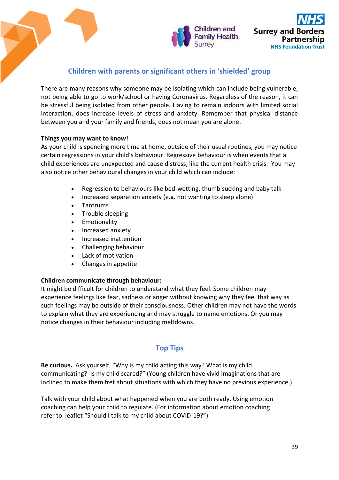



# **Children with parents or significant others in 'shielded' group**

There are many reasons why someone may be isolating which can include being vulnerable, not being able to go to work/school or having Coronavirus. Regardless of the reason, it can be stressful being isolated from other people. Having to remain indoors with limited social interaction, does increase levels of stress and anxiety. Remember that physical distance between you and your family and friends, does not mean you are alone.

### **Things you may want to know!**

As your child is spending more time at home, outside of their usual routines, you may notice certain regressions in your child's behaviour. Regressive behaviour is when events that a child experiences are unexpected and cause distress, like the current health crisis. You may also notice other behavioural changes in your child which can include:

- Regression to behaviours like bed-wetting, thumb sucking and baby talk
- Increased separation anxiety (e.g. not wanting to sleep alone)
- Tantrums
- Trouble sleeping
- **•** Emotionality
- Increased anxiety
- Increased inattention
- Challenging behaviour
- Lack of motivation
- Changes in appetite

#### **Children communicate through behaviour:**

It might be difficult for children to understand what they feel. Some children may experience feelings like fear, sadness or anger without knowing why they feel that way as such feelings may be outside of their consciousness. Other children may not have the words to explain what they are experiencing and may struggle to name emotions. Or you may notice changes in their behaviour including meltdowns.

# **Top Tips**

**Be curious.** Ask yourself, "Why is my child acting this way? What is my child communicating? Is my child scared?" (Young children have vivid imaginations that are inclined to make them fret about situations with which they have no previous experience.)

Talk with your child about what happened when you are both ready. Using emotion coaching can help your child to regulate. (For information about emotion coaching refer to  leaflet "Should I talk to my child about COVID-19?")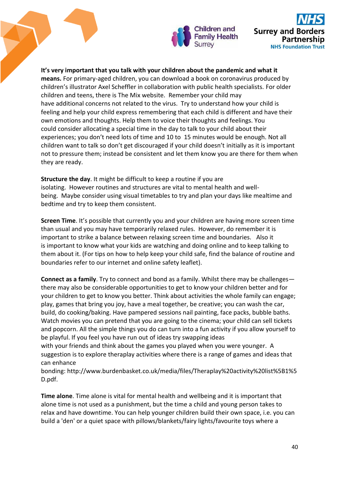

**It's very important that you talk with your children about the pandemic and what it means.** For primary-aged children, you can download a book on coronavirus produced by children's illustrator Axel Scheffler in collaboration with public health specialists. For older children and teens, there is The Mix website. Remember your child may have additional concerns not related to the virus. Try to understand how your child is feeling and help your child express remembering that each child is different and have their own emotions and thoughts. Help them to voice their thoughts and feelings. You could consider allocating a special time in the day to talk to your child about their experiences; you don't need lots of time and 10 to 15 minutes would be enough. Not all children want to talk so don't get discouraged if your child doesn't initially as it is important not to pressure them; instead be consistent and let them know you are there for them when they are ready.

**Structure the day**. It might be difficult to keep a routine if you are isolating. However routines and structures are vital to mental health and wellbeing. Maybe consider using visual timetables to try and plan your days like mealtime and bedtime and try to keep them consistent.

**Screen Time**. It's possible that currently you and your children are having more screen time than usual and you may have temporarily relaxed rules. However, do remember it is important to strike a balance between relaxing screen time and boundaries. Also it is important to know what your kids are watching and doing online and to keep talking to them about it. (For tips on how to help keep your child safe, find the balance of routine and boundaries refer to our internet and online safety leaflet).

**Connect as a family**. Try to connect and bond as a family. Whilst there may be challenges there may also be considerable opportunities to get to know your children better and for your children to get to know you better. Think about activities the whole family can engage; play, games that bring you joy, have a meal together, be creative; you can wash the car, build, do cooking/baking. Have pampered sessions nail painting, face packs, bubble baths. Watch movies you can pretend that you are going to the cinema; your child can sell tickets and popcorn. All the simple things you do can turn into a fun activity if you allow yourself to be playful. If you feel you have run out of ideas try swapping ideas

with your friends and think about the games you played when you were younger. A suggestion is to explore theraplay activities where there is a range of games and ideas that can enhance

bonding: http://www.burdenbasket.co.uk/media/files/Theraplay%20activity%20list%5B1%5 D.pdf.

**Time alone**. Time alone is vital for mental health and wellbeing and it is important that alone time is not used as a punishment, but the time a child and young person takes to relax and have downtime. You can help younger children build their own space, i.e. you can build a 'den' or a quiet space with pillows/blankets/fairy lights/favourite toys where a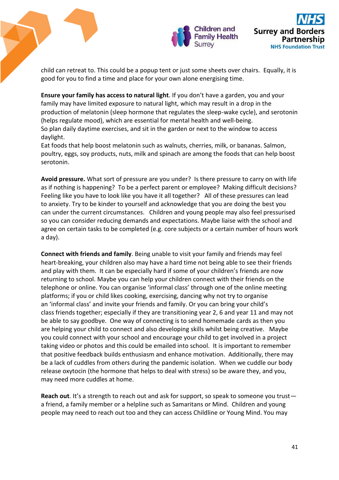

child can retreat to. This could be a popup tent or just some sheets over chairs. Equally, it is good for you to find a time and place for your own alone energising time.

**Ensure your family has access to natural light**. If you don't have a garden, you and your family may have limited exposure to natural light, which may result in a drop in the production of melatonin (sleep hormone that regulates the sleep-wake cycle), and serotonin (helps regulate mood), which are essential for mental health and well-being. So plan daily daytime exercises, and sit in the garden or next to the window to access daylight.

Eat foods that help boost melatonin such as walnuts, cherries, milk, or bananas. Salmon, poultry, eggs, soy products, nuts, milk and spinach are among the foods that can help boost serotonin.

**Avoid pressure.** What sort of pressure are you under? Is there pressure to carry on with life as if nothing is happening? To be a perfect parent or employee? Making difficult decisions? Feeling like you have to look like you have it all together? All of these pressures can lead to anxiety. Try to be kinder to yourself and acknowledge that you are doing the best you can under the current circumstances. Children and young people may also feel pressurised so you can consider reducing demands and expectations. Maybe liaise with the school and agree on certain tasks to be completed (e.g. core subjects or a certain number of hours work a day).

**Connect with friends and family**. Being unable to visit your family and friends may feel heart-breaking, your children also may have a hard time not being able to see their friends and play with them. It can be especially hard if some of your children's friends are now returning to school. Maybe you can help your children connect with their friends on the telephone or online. You can organise 'informal class' through one of the online meeting platforms; if you or child likes cooking, exercising, dancing why not try to organise an 'informal class' and invite your friends and family. Or you can bring your child's class friends together; especially if they are transitioning year 2, 6 and year 11 and may not be able to say goodbye. One way of connecting is to send homemade cards as then you are helping your child to connect and also developing skills whilst being creative. Maybe you could connect with your school and encourage your child to get involved in a project taking video or photos and this could be emailed into school. It is important to remember that positive feedback builds enthusiasm and enhance motivation. Additionally, there may be a lack of cuddles from others during the pandemic isolation. When we cuddle our body release oxytocin (the hormone that helps to deal with stress) so be aware they, and you, may need more cuddles at home.

**Reach out**. It's a strength to reach out and ask for support, so speak to someone you trust a friend, a family member or a helpline such as Samaritans or Mind. Children and young people may need to reach out too and they can access Childline or Young Mind. You may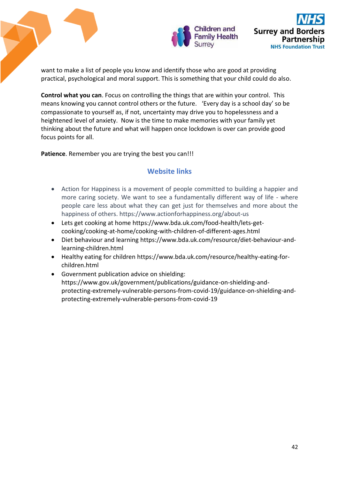

want to make a list of people you know and identify those who are good at providing practical, psychological and moral support. This is something that your child could do also.

**Control what you can**. Focus on controlling the things that are within your control. This means knowing you cannot control others or the future. 'Every day is a school day' so be compassionate to yourself as, if not, uncertainty may drive you to hopelessness and a heightened level of anxiety. Now is the time to make memories with your family yet thinking about the future and what will happen once lockdown is over can provide good focus points for all.

**Patience**. Remember you are trying the best you can!!!

# **Website links**

- Action for Happiness is a movement of people committed to building a happier and more caring society. We want to see a fundamentally different way of life - where people care less about what they can get just for themselves and more about the happiness of others[. https://www.actionforhappiness.org/about-us](https://www.actionforhappiness.org/about-us)
- Lets get cooking at home [https://www.bda.uk.com/food-health/lets-get](https://www.bda.uk.com/food-health/lets-get-cooking/cooking-at-home/cooking-with-children-of-different-ages.html)[cooking/cooking-at-home/cooking-with-children-of-different-ages.html](https://www.bda.uk.com/food-health/lets-get-cooking/cooking-at-home/cooking-with-children-of-different-ages.html)
- Diet behaviour and learning [https://www.bda.uk.com/resource/diet-behaviour-and](https://www.bda.uk.com/resource/diet-behaviour-and-learning-children.html)[learning-children.html](https://www.bda.uk.com/resource/diet-behaviour-and-learning-children.html)
- Healthy eating for children [https://www.bda.uk.com/resource/healthy-eating-for](https://www.bda.uk.com/resource/healthy-eating-for-children.html)[children.html](https://www.bda.uk.com/resource/healthy-eating-for-children.html)
- Government publication advice on shielding: https://www.gov.uk/government/publications/guidance-on-shielding-andprotecting-extremely-vulnerable-persons-from-covid-19/guidance-on-shielding-andprotecting-extremely-vulnerable-persons-from-covid-19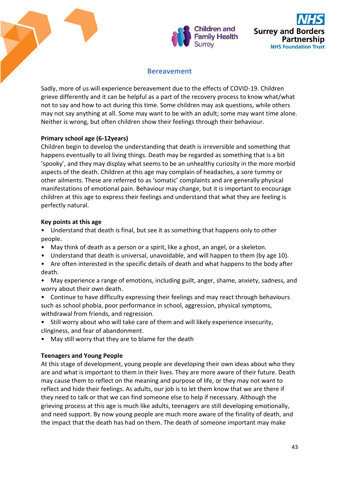



# **Bereavement**

Sadly, more of us will experience bereavement due to the effects of COVID-19. Children grieve differently and it can be helpful as a part of the recovery process to know what/what not to say and how to act during this time. Some children may ask questions, while others may not say anything at all. Some may want to be with an adult; some may want time alone. Neither is wrong, but often children show their feelings through their behaviour.

## **Primary school age (6-12years)**

Children begin to develop the understanding that death is irreversible and something that happens eventually to all living things. Death may be regarded as something that is a bit 'spooky', and they may display what seems to be an unhealthy curiosity in the more morbid aspects of the death. Children at this age may complain of headaches, a sore tummy or other ailments. These are referred to as 'somatic' complaints and are generally physical manifestations of emotional pain. Behaviour may change, but it is important to encourage children at this age to express their feelings and understand that what they are feeling is perfectly natural.

### **Key points at this age**

• Understand that death is final, but see it as something that happens only to other people.

- May think of death as a person or a spirit, like a ghost, an angel, or a skeleton.
- Understand that death is universal, unavoidable, and will happen to them (by age 10).
- Are often interested in the specific details of death and what happens to the body after death.
- May experience a range of emotions, including guilt, anger, shame, anxiety, sadness, and worry about their own death.
- Continue to have difficulty expressing their feelings and may react through behaviours such as school phobia, poor performance in school, aggression, physical symptoms, withdrawal from friends, and regression.
- Still worry about who will take care of them and will likely experience insecurity, clinginess, and fear of abandonment.
- May still worry that they are to blame for the death

# **Teenagers and Young People**

At this stage of development, young people are developing their own ideas about who they are and what is important to them in their lives. They are more aware of their future. Death may cause them to reflect on the meaning and purpose of life, or they may not want to reflect and hide their feelings. As adults, our job is to let them know that we are there if they need to talk or that we can find someone else to help if necessary. Although the grieving process at this age is much like adults, teenagers are still developing emotionally, and need support. By now young people are much more aware of the finality of death, and the impact that the death has had on them. The death of someone important may make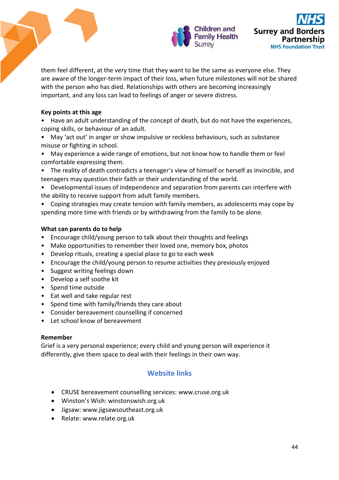

them feel different, at the very time that they want to be the same as everyone else. They are aware of the longer-term impact of their loss, when future milestones will not be shared with the person who has died. Relationships with others are becoming increasingly important, and any loss can lead to feelings of anger or severe distress.

## **Key points at this age**

- Have an adult understanding of the concept of death, but do not have the experiences, coping skills, or behaviour of an adult.
- May 'act out' in anger or show impulsive or reckless behaviours, such as substance misuse or fighting in school.
- May experience a wide range of emotions, but not know how to handle them or feel comfortable expressing them.
- The reality of death contradicts a teenager's view of himself or herself as invincible, and teenagers may question their faith or their understanding of the world.
- Developmental issues of independence and separation from parents can interfere with the ability to receive support from adult family members.
- Coping strategies may create tension with family members, as adolescents may cope by spending more time with friends or by withdrawing from the family to be alone.

# **What can parents do to help**

- Encourage child/young person to talk about their thoughts and feelings
- Make opportunities to remember their loved one, memory box, photos
- Develop rituals, creating a special place to go to each week
- Encourage the child/young person to resume activities they previously enjoyed
- Suggest writing feelings down
- Develop a self soothe kit
- Spend time outside
- Eat well and take regular rest
- Spend time with family/friends they care about
- Consider bereavement counselling if concerned
- Let school know of bereavement

### **Remember**

Grief is a very personal experience; every child and young person will experience it differently, give them space to deal with their feelings in their own way.

# **Website links**

- CRUSE bereavement counselling services: [www.cruse.org.uk](http://www.cruse.org.uk/)
- Winston's Wish: winstonswish.org.uk
- Jigsaw: [www.jigsawsoutheast.org.uk](http://www.jigsawsoutheast.org.uk/)
- Relate: [www.relate.org.uk](http://www.relate.org.uk/)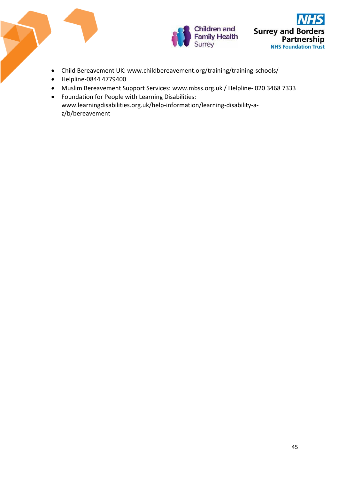

- Child Bereavement UK: www.childbereavement.org/training/training-schools/
- Helpline-0844 4779400
- Muslim Bereavement Support Services: [www.mbss.org.uk](http://www.mbss.org.uk/) / Helpline- 020 3468 7333
- Foundation for People with Learning Disabilities: [www.learningdisabilities.org.uk/help-information/learning-disability-a](http://www.learningdisabilities.org.uk/help-information/learning-disability-a-z/b/bereavement)[z/b/bereavement](http://www.learningdisabilities.org.uk/help-information/learning-disability-a-z/b/bereavement)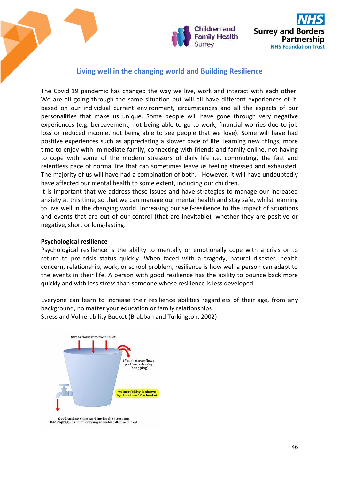



# **Living well in the changing world and Building Resilience**

The Covid 19 pandemic has changed the way we live, work and interact with each other. We are all going through the same situation but will all have different experiences of it, based on our individual current environment, circumstances and all the aspects of our personalities that make us unique. Some people will have gone through very negative experiences (e.g. bereavement, not being able to go to work, financial worries due to job loss or reduced income, not being able to see people that we love). Some will have had positive experiences such as appreciating a slower pace of life, learning new things, more time to enjoy with immediate family, connecting with friends and family online, not having to cope with some of the modern stressors of daily life i.e. commuting, the fast and relentless pace of normal life that can sometimes leave us feeling stressed and exhausted. The majority of us will have had a combination of both. However, it will have undoubtedly have affected our mental health to some extent, including our children.

It is important that we address these issues and have strategies to manage our increased anxiety at this time, so that we can manage our mental health and stay safe, whilst learning to live well in the changing world. Increasing our self-resilience to the impact of situations and events that are out of our control (that are inevitable), whether they are positive or negative, short or long-lasting.

#### **Psychological resilience**

Psychological resilience is the ability to mentally or emotionally cope with a crisis or to return to pre-crisis status quickly. When faced with a tragedy, natural disaster, health concern, relationship, work, or school problem, resilience is how well a person can adapt to the events in their life. A person with good resilience has the ability to bounce back more quickly and with less stress than someone whose resilience is less developed.

Everyone can learn to increase their resilience abilities regardless of their age, from any background, no matter your education or family relationships Stress and Vulnerability Bucket (Brabban and Turkington, 2002)



**Good coping = tap working let the stress out**<br>Bad coping = tap not working so water fills the bucket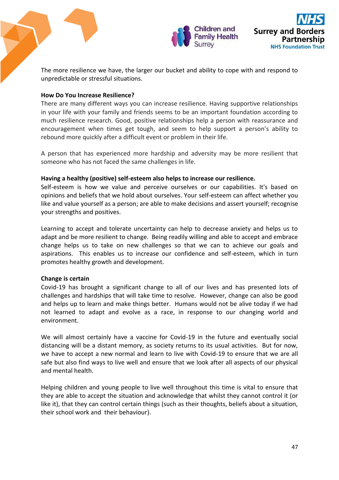

The more resilience we have, the larger our bucket and ability to cope with and respond to unpredictable or stressful situations.

### **How Do You Increase Resilience?**

There are many different ways you can increase resilience. Having supportive relationships in your life with your family and friends seems to be an important foundation according to much resilience research. Good, positive relationships help a person with reassurance and encouragement when times get tough, and seem to help support a person's ability to rebound more quickly after a difficult event or problem in their life.

A person that has experienced more hardship and adversity may be more resilient that someone who has not faced the same challenges in life.

#### **Having a healthy (positive) self-esteem also helps to increase our resilience.**

Self-esteem is how we value and perceive ourselves or our capabilities. It's based on opinions and beliefs that we hold about ourselves. Your self-esteem can affect whether you like and value yourself as a person; are able to make decisions and assert yourself; recognise your strengths and positives.

Learning to accept and tolerate uncertainty can help to decrease anxiety and helps us to adapt and be more resilient to change. Being readily willing and able to accept and embrace change helps us to take on new challenges so that we can to achieve our goals and aspirations. This enables us to increase our confidence and self-esteem, which in turn promotes healthy growth and development.

### **Change is certain**

Covid-19 has brought a significant change to all of our lives and has presented lots of challenges and hardships that will take time to resolve. However, change can also be good and helps up to learn and make things better. Humans would not be alive today if we had not learned to adapt and evolve as a race, in response to our changing world and environment.

We will almost certainly have a vaccine for Covid-19 in the future and eventually social distancing will be a distant memory, as society returns to its usual activities. But for now, we have to accept a new normal and learn to live with Covid-19 to ensure that we are all safe but also find ways to live well and ensure that we look after all aspects of our physical and mental health.

Helping children and young people to live well throughout this time is vital to ensure that they are able to accept the situation and acknowledge that whilst they cannot control it (or like it), that they can control certain things (such as their thoughts, beliefs about a situation, their school work and their behaviour).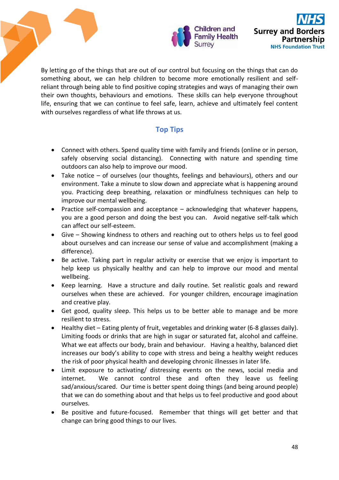

By letting go of the things that are out of our control but focusing on the things that can do something about, we can help children to become more emotionally resilient and selfreliant through being able to find positive coping strategies and ways of managing their own their own thoughts, behaviours and emotions. These skills can help everyone throughout life, ensuring that we can continue to feel safe, learn, achieve and ultimately feel content with ourselves regardless of what life throws at us.

# **Top Tips**

- Connect with others. Spend quality time with family and friends (online or in person, safely observing social distancing). Connecting with nature and spending time outdoors can also help to improve our mood.
- Take notice of ourselves (our thoughts, feelings and behaviours), others and our environment. Take a minute to slow down and appreciate what is happening around you. Practicing deep breathing, relaxation or mindfulness techniques can help to improve our mental wellbeing.
- Practice self-compassion and acceptance acknowledging that whatever happens, you are a good person and doing the best you can. Avoid negative self-talk which can affect our self-esteem.
- Give Showing kindness to others and reaching out to others helps us to feel good about ourselves and can increase our sense of value and accomplishment (making a difference).
- Be active. Taking part in regular activity or exercise that we enjoy is important to help keep us physically healthy and can help to improve our mood and mental wellbeing.
- Keep learning. Have a structure and daily routine. Set realistic goals and reward ourselves when these are achieved. For younger children, encourage imagination and creative play.
- Get good, quality sleep. This helps us to be better able to manage and be more resilient to stress.
- Healthy diet Eating plenty of fruit, vegetables and drinking water (6-8 glasses daily). Limiting foods or drinks that are high in sugar or saturated fat, alcohol and caffeine. What we eat affects our body, brain and behaviour. Having a healthy, balanced diet increases our body's ability to cope with stress and being a healthy weight reduces the risk of poor physical health and developing chronic illnesses in later life.
- Limit exposure to activating/ distressing events on the news, social media and internet. We cannot control these and often they leave us feeling sad/anxious/scared. Our time is better spent doing things (and being around people) that we can do something about and that helps us to feel productive and good about ourselves.
- Be positive and future-focused. Remember that things will get better and that change can bring good things to our lives.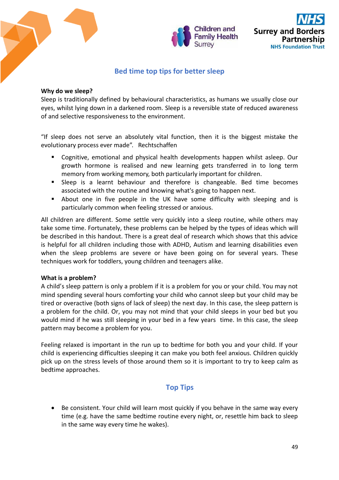

# **Bed time top tips for better sleep**

### **Why do we sleep?**

Sleep is traditionally defined by behavioural characteristics, as humans we usually close our eyes, whilst lying down in a darkened room. Sleep is a reversible state of reduced awareness of and selective responsiveness to the environment.

"If sleep does not serve an absolutely vital function, then it is the biggest mistake the evolutionary process ever made". Rechtschaffen

- **EXP** Cognitive, emotional and physical health developments happen whilst asleep. Our growth hormone is realised and new learning gets transferred in to long term memory from working memory, both particularly important for children.
- **Sleep** is a learnt behaviour and therefore is changeable. Bed time becomes associated with the routine and knowing what's going to happen next.
- About one in five people in the UK have some difficulty with sleeping and is particularly common when feeling stressed or anxious.

All children are different. Some settle very quickly into a sleep routine, while others may take some time. Fortunately, these problems can be helped by the types of ideas which will be described in this handout. There is a great deal of research which shows that this advice is helpful for all children including those with ADHD, Autism and learning disabilities even when the sleep problems are severe or have been going on for several years. These techniques work for toddlers, young children and teenagers alike.

### **What is a problem?**

A child's sleep pattern is only a problem if it is a problem for you or your child. You may not mind spending several hours comforting your child who cannot sleep but your child may be tired or overactive (both signs of lack of sleep) the next day. In this case, the sleep pattern is a problem for the child. Or, you may not mind that your child sleeps in your bed but you would mind if he was still sleeping in your bed in a few years time. In this case, the sleep pattern may become a problem for you.

Feeling relaxed is important in the run up to bedtime for both you and your child. If your child is experiencing difficulties sleeping it can make you both feel anxious. Children quickly pick up on the stress levels of those around them so it is important to try to keep calm as bedtime approaches.

# **Top Tips**

 Be consistent. Your child will learn most quickly if you behave in the same way every time (e.g. have the same bedtime routine every night, or, resettle him back to sleep in the same way every time he wakes).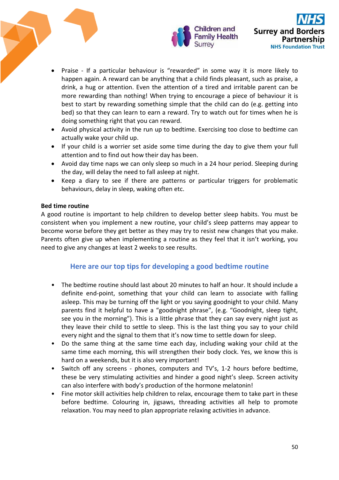

- Praise If a particular behaviour is "rewarded" in some way it is more likely to happen again. A reward can be anything that a child finds pleasant, such as praise, a drink, a hug or attention. Even the attention of a tired and irritable parent can be more rewarding than nothing! When trying to encourage a piece of behaviour it is best to start by rewarding something simple that the child can do (e.g. getting into bed) so that they can learn to earn a reward. Try to watch out for times when he is doing something right that you can reward.
- Avoid physical activity in the run up to bedtime. Exercising too close to bedtime can actually wake your child up.
- If your child is a worrier set aside some time during the day to give them your full attention and to find out how their day has been.
- Avoid day time naps we can only sleep so much in a 24 hour period. Sleeping during the day, will delay the need to fall asleep at night.
- Keep a diary to see if there are patterns or particular triggers for problematic behaviours, delay in sleep, waking often etc.

## **Bed time routine**

A good routine is important to help children to develop better sleep habits. You must be consistent when you implement a new routine, your child's sleep patterns may appear to become worse before they get better as they may try to resist new changes that you make. Parents often give up when implementing a routine as they feel that it isn't working, you need to give any changes at least 2 weeks to see results.

# **Here are our top tips for developing a good bedtime routine**

- The bedtime routine should last about 20 minutes to half an hour. It should include a definite end-point, something that your child can learn to associate with falling asleep. This may be turning off the light or you saying goodnight to your child. Many parents find it helpful to have a "goodnight phrase", (e.g. "Goodnight, sleep tight, see you in the morning"). This is a little phrase that they can say every night just as they leave their child to settle to sleep. This is the last thing you say to your child every night and the signal to them that it's now time to settle down for sleep.
- Do the same thing at the same time each day, including waking your child at the same time each morning, this will strengthen their body clock. Yes, we know this is hard on a weekends, but it is also very important!
- Switch off any screens phones, computers and TV's, 1-2 hours before bedtime, these be very stimulating activities and hinder a good night's sleep. Screen activity can also interfere with body's production of the hormone melatonin!
- Fine motor skill activities help children to relax, encourage them to take part in these before bedtime. Colouring in, jigsaws, threading activities all help to promote relaxation. You may need to plan appropriate relaxing activities in advance.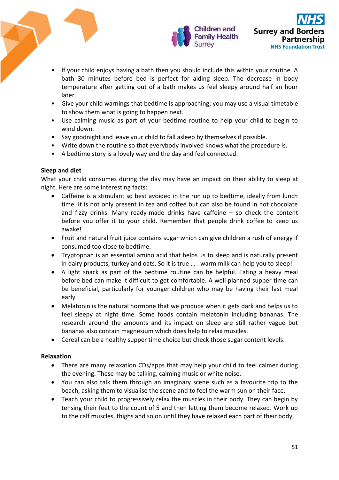

- If your child enjoys having a bath then you should include this within your routine. A bath 30 minutes before bed is perfect for aiding sleep. The decrease in body temperature after getting out of a bath makes us feel sleepy around half an hour later.
- Give your child warnings that bedtime is approaching; you may use a visual timetable to show them what is going to happen next.
- Use calming music as part of your bedtime routine to help your child to begin to wind down.
- Say goodnight and leave your child to fall asleep by themselves if possible.
- Write down the routine so that everybody involved knows what the procedure is.
- A bedtime story is a lovely way end the day and feel connected.

# **Sleep and diet**

What your child consumes during the day may have an impact on their ability to sleep at night. Here are some interesting facts:

- Caffeine is a stimulant so best avoided in the run up to bedtime, ideally from lunch time. It is not only present in tea and coffee but can also be found in hot chocolate and fizzy drinks. Many ready-made drinks have caffeine  $-$  so check the content before you offer it to your child. Remember that people drink coffee to keep us awake!
- Fruit and natural fruit juice contains sugar which can give children a rush of energy if consumed too close to bedtime.
- Tryptophan is an essential amino acid that helps us to sleep and is naturally present in dairy products, turkey and oats. So it is true . . . warm milk can help you to sleep!
- A light snack as part of the bedtime routine can be helpful. Eating a heavy meal before bed can make it difficult to get comfortable. A well planned supper time can be beneficial, particularly for younger children who may be having their last meal early.
- Melatonin is the natural hormone that we produce when it gets dark and helps us to feel sleepy at night time. Some foods contain melatonin including bananas. The research around the amounts and its impact on sleep are still rather vague but bananas also contain magnesium which does help to relax muscles.
- Cereal can be a healthy supper time choice but check those sugar content levels.

# **Relaxation**

- There are many relaxation CDs/apps that may help your child to feel calmer during the evening. These may be talking, calming music or white noise.
- You can also talk them through an imaginary scene such as a favourite trip to the beach, asking them to visualise the scene and to feel the warm sun on their face.
- Teach your child to progressively relax the muscles in their body. They can begin by tensing their feet to the count of 5 and then letting them become relaxed. Work up to the calf muscles, thighs and so on until they have relaxed each part of their body.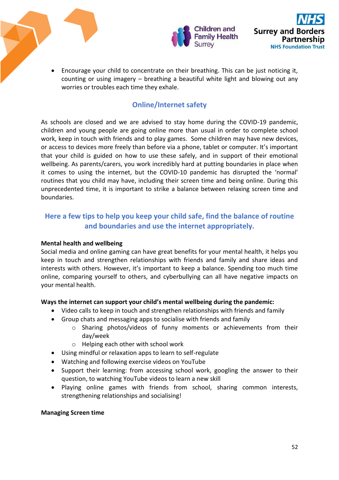

 Encourage your child to concentrate on their breathing. This can be just noticing it, counting or using imagery – breathing a beautiful white light and blowing out any worries or troubles each time they exhale.

# **Online/Internet safety**

As schools are closed and we are advised to stay home during the COVID-19 pandemic, children and young people are going online more than usual in order to complete school work, keep in touch with friends and to play games. Some children may have new devices, or access to devices more freely than before via a phone, tablet or computer. It's important that your child is guided on how to use these safely, and in support of their emotional wellbeing. As parents/carers, you work incredibly hard at putting boundaries in place when it comes to using the internet, but the COVID-10 pandemic has disrupted the 'normal' routines that you child may have, including their screen time and being online. During this unprecedented time, it is important to strike a balance between relaxing screen time and boundaries.

# **Here a few tips to help you keep your child safe, find the balance of routine and boundaries and use the internet appropriately.**

# **Mental health and wellbeing**

Social media and online gaming can have great benefits for your mental health, it helps you keep in touch and strengthen relationships with friends and family and share ideas and interests with others. However, it's important to keep a balance. Spending too much time online, comparing yourself to others, and cyberbullying can all have negative impacts on your mental health.

# **Ways the internet can support your child's mental wellbeing during the pandemic:**

- Video calls to keep in touch and strengthen relationships with friends and family
- Group chats and messaging apps to socialise with friends and family
	- o Sharing photos/videos of funny moments or achievements from their day/week
	- o Helping each other with school work
- Using mindful or relaxation apps to learn to self-regulate
- Watching and following exercise videos on YouTube
- Support their learning: from accessing school work, googling the answer to their question, to watching YouTube videos to learn a new skill
- Playing online games with friends from school, sharing common interests, strengthening relationships and socialising!

# **Managing Screen time**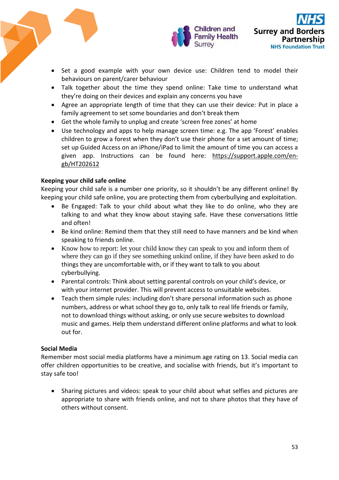

- Set a good example with your own device use: Children tend to model their behaviours on parent/carer behaviour
- Talk together about the time they spend online: Take time to understand what they're doing on their devices and explain any concerns you have
- Agree an appropriate length of time that they can use their device: Put in place a family agreement to set some boundaries and don't break them
- Get the whole family to unplug and create 'screen free zones' at home
- Use technology and apps to help manage screen time: e.g. The app 'Forest' enables children to grow a forest when they don't use their phone for a set amount of time; set up Guided Access on an iPhone/iPad to limit the amount of time you can access a given app. Instructions can be found here: [https://support.apple.com/en](https://support.apple.com/en-gb/HT202612)[gb/HT202612](https://support.apple.com/en-gb/HT202612)

## **Keeping your child safe online**

Keeping your child safe is a number one priority, so it shouldn't be any different online! By keeping your child safe online, you are protecting them from cyberbullying and exploitation.

- Be Engaged: Talk to your child about what they like to do online, who they are talking to and what they know about staying safe. Have these conversations little and often!
- Be kind online: Remind them that they still need to have manners and be kind when speaking to friends online.
- Know how to report: let your child know they can speak to you and inform them of where they can go if they see something unkind online, if they have been asked to do things they are uncomfortable with, or if they want to talk to you about cyberbullying.
- Parental controls: Think about setting parental controls on your child's device, or with your internet provider. This will prevent access to unsuitable websites.
- Teach them simple rules: including don't share personal information such as phone numbers, address or what school they go to, only talk to real life friends or family, not to download things without asking, or only use secure websites to download music and games. Help them understand different online platforms and what to look out for.

### **Social Media**

Remember most social media platforms have a minimum age rating on 13. Social media can offer children opportunities to be creative, and socialise with friends, but it's important to stay safe too!

 Sharing pictures and videos: speak to your child about what selfies and pictures are appropriate to share with friends online, and not to share photos that they have of others without consent.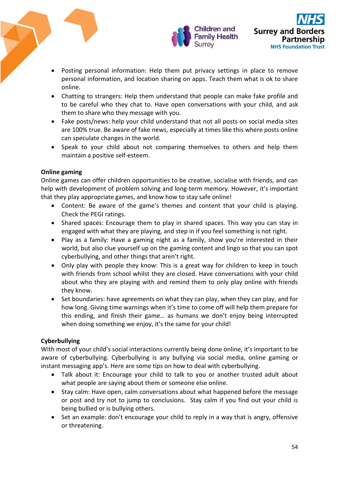

- Posting personal information: Help them put privacy settings in place to remove personal information, and location sharing on apps. Teach them what is ok to share online.
- Chatting to strangers: Help them understand that people can make fake profile and to be careful who they chat to. Have open conversations with your child, and ask them to share who they message with you.
- Fake posts/news: help your child understand that not all posts on social media sites are 100% true. Be aware of fake news, especially at times like this where posts online can speculate changes in the world.
- Speak to your child about not comparing themselves to others and help them maintain a positive self-esteem.

# **Online gaming**

Online games can offer children opportunities to be creative, socialise with friends, and can help with development of problem solving and long-term memory. However, it's important that they play appropriate games, and know how to stay safe online!

- Content: Be aware of the game's themes and content that your child is playing. Check the PEGI ratings.
- Shared spaces: Encourage them to play in shared spaces. This way you can stay in engaged with what they are playing, and step in if you feel something is not right.
- Play as a family: Have a gaming night as a family, show you're interested in their world, but also clue yourself up on the gaming content and lingo so that you can spot cyberbullying, and other things that aren't right.
- Only play with people they know: This is a great way for children to keep in touch with friends from school whilst they are closed. Have conversations with your child about who they are playing with and remind them to only play online with friends they know.
- Set boundaries: have agreements on what they can play, when they can play, and for how long. Giving time warnings when it's time to come off will help them prepare for this ending, and finish their game… as humans we don't enjoy being interrupted when doing something we enjoy, it's the same for your child!

# **Cyberbullying**

With most of your child's social interactions currently being done online, it's important to be aware of cyberbullying. Cyberbullying is any bullying via social media, online gaming or instant messaging app's. Here are some tips on how to deal with cyberbullying.

- Talk about it: Encourage your child to talk to you or another trusted adult about what people are saying about them or someone else online.
- Stay calm: Have open, calm conversations about what happened before the message or post and try not to jump to conclusions. Stay calm if you find out your child is being bullied or is bullying others.
- Set an example: don't encourage your child to reply in a way that is angry, offensive or threatening.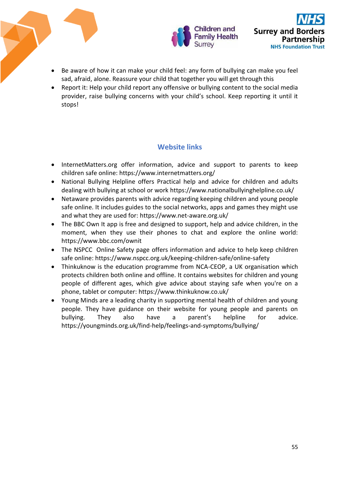

- Be aware of how it can make your child feel: any form of bullying can make you feel sad, afraid, alone. Reassure your child that together you will get through this
- Report it: Help your child report any offensive or bullying content to the social media provider, raise bullying concerns with your child's school. Keep reporting it until it stops!

# **Website links**

- InternetMatters.org offer information, advice and support to parents to keep children safe online:<https://www.internetmatters.org/>
- National Bullying Helpline offers Practical help and advice for children and adults dealing with bullying at school or work<https://www.nationalbullyinghelpline.co.uk/>
- Netaware provides parents with advice regarding keeping children and young people safe online. It includes guides to the social networks, apps and games they might use and what they are used for:<https://www.net-aware.org.uk/>
- The BBC Own It app is free and designed to support, help and advice children, in the moment, when they use their phones to chat and explore the online world: <https://www.bbc.com/ownit>
- The NSPCC Online Safety page offers information and advice to help keep children safe online:<https://www.nspcc.org.uk/keeping-children-safe/online-safety>
- Thinkuknow is the education programme from NCA-CEOP, a UK organisation which protects children both online and offline. It contains websites for children and young people of different ages, which give advice about staying safe when you're on a phone, tablet or computer:<https://www.thinkuknow.co.uk/>
- Young Minds are a leading charity in supporting mental health of children and young people. They have guidance on their website for young people and parents on bullying. They also have a parent's helpline for advice. <https://youngminds.org.uk/find-help/feelings-and-symptoms/bullying/>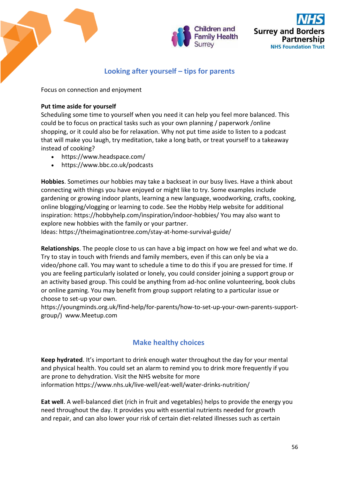

# **Looking after yourself – tips for parents**

Focus on connection and enjoyment

## **Put time aside for yourself**

Scheduling some time to yourself when you need it can help you feel more balanced. This could be to focus on practical tasks such as your own planning / paperwork /online shopping, or it could also be for relaxation. Why not put time aside to listen to a podcast that will make you laugh, try meditation, take a long bath, or treat yourself to a takeaway instead of cooking?

- <https://www.headspace.com/>
- <https://www.bbc.co.uk/podcasts>

**Hobbies**. Sometimes our hobbies may take a backseat in our busy lives. Have a think about connecting with things you have enjoyed or might like to try. Some examples include gardening or growing indoor plants, learning a new language, woodworking, crafts, cooking, online blogging/vlogging or learning to code. See the Hobby Help website for additional inspiration: <https://hobbyhelp.com/inspiration/indoor-hobbies/> You may also want to explore new hobbies with the family or your partner.

Ideas: <https://theimaginationtree.com/stay-at-home-survival-guide/>

**Relationships**. The people close to us can have a big impact on how we feel and what we do. Try to stay in touch with friends and family members, even if this can only be via a video/phone call. You may want to schedule a time to do this if you are pressed for time. If you are feeling particularly isolated or lonely, you could consider joining a support group or an activity based group. This could be anything from ad-hoc online volunteering, book clubs or online gaming. You may benefit from group support relating to a particular issue or choose to set-up your own.

[https://youngminds.org.uk/find-help/for-parents/how-to-set-up-your-own-parents-support](https://youngminds.org.uk/find-help/for-parents/how-to-set-up-your-own-parents-support-group/)[group/\)](https://youngminds.org.uk/find-help/for-parents/how-to-set-up-your-own-parents-support-group/) [www.Meetup.com](http://www.meetup.com/)

# **Make healthy choices**

**Keep hydrated**. It's important to drink enough water throughout the day for your mental and physical health. You could set an alarm to remind you to drink more frequently if you are prone to dehydration. Visit the NHS website for more information <https://www.nhs.uk/live-well/eat-well/water-drinks-nutrition/>

**Eat well**. A well-balanced diet (rich in fruit and vegetables) helps to provide the energy you need throughout the day. It provides you with essential nutrients needed for growth and repair, and can also lower your risk of certain diet-related illnesses such as certain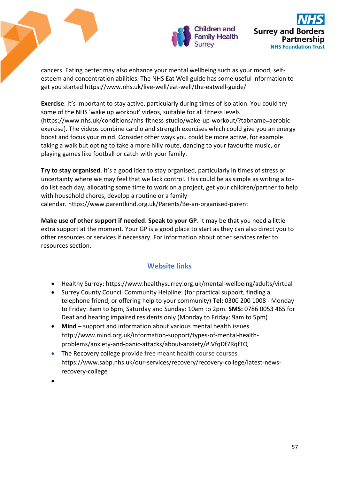

cancers. Eating better may also enhance your mental wellbeing such as your mood, selfesteem and concentration abilities. The NHS Eat Well guide has some useful information to get you started <https://www.nhs.uk/live-well/eat-well/the-eatwell-guide/>

**Exercise**. It's important to stay active, particularly during times of isolation. You could try some of the NHS 'wake up workout' videos, suitable for all fitness levels [\(https://www.nhs.uk/conditions/nhs-fitness-studio/wake-up-workout/?tabname=aerobic](https://www.nhs.uk/conditions/nhs-fitness-studio/wake-up-workout/?tabname=aerobic-exercise)[exercise\)](https://www.nhs.uk/conditions/nhs-fitness-studio/wake-up-workout/?tabname=aerobic-exercise). The videos combine cardio and strength exercises which could give you an energy boost and focus your mind. Consider other ways you could be more active, for example taking a walk but opting to take a more hilly route, dancing to your favourite music, or playing games like football or catch with your family.

**Try to stay organised**. It's a good idea to stay organised, particularly in times of stress or uncertainty where we may feel that we lack control. This could be as simple as writing a todo list each day, allocating some time to work on a project, get your children/partner to help with household chores, develop a routine or a family calendar. <https://www.parentkind.org.uk/Parents/Be-an-organised-parent>

**Make use of other support if needed**. **Speak to your GP**. It may be that you need a little extra support at the moment. Your GP is a good place to start as they can also direct you to other resources or services if necessary. For information about other services refer to resources section.

# **Website links**

- Healthy Surrey:<https://www.healthysurrey.org.uk/mental-wellbeing/adults/virtual>
- Surrey County Council Community Helpline: (for practical support, finding a telephone friend, or offering help to your community) **Tel:** 0300 200 1008 - Monday to Friday: 8am to 6pm, Saturday and Sunday: 10am to 2pm. **SMS:** 0786 0053 465 for Deaf and hearing impaired residents only (Monday to Friday: 9am to 5pm)
- **Mind**  support and information about various mental health issues [http://www.mind.org.uk/information-support/types-of-mental-health](http://www.mind.org.uk/information-support/types-of-mental-health-problems/anxiety-and-panic-attacks/about-anxiety/#.VfqDf7RqfTQ)[problems/anxiety-and-panic-attacks/about-anxiety/#.VfqDf7RqfTQ](http://www.mind.org.uk/information-support/types-of-mental-health-problems/anxiety-and-panic-attacks/about-anxiety/#.VfqDf7RqfTQ)
- The Recovery college provide free meant health course courses [https://www.sabp.nhs.uk/our-services/recovery/recovery-college/latest-news](https://www.sabp.nhs.uk/our-services/recovery/recovery-college/latest-news-recovery-college)[recovery-college](https://www.sabp.nhs.uk/our-services/recovery/recovery-college/latest-news-recovery-college)

 $\bullet$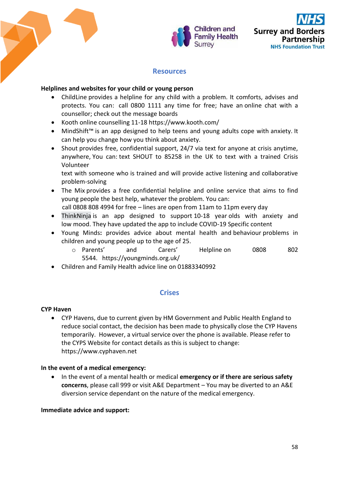



# **Resources**

## **Helplines and websites for your child or young person**

- [ChildLine](https://www.childline.org.uk/Pages/Home.aspx) provides a helpline for any child with a problem. It comforts, advises and protects. You can: call 0800 1111 any time for free; have an [online chat with a](https://www.childline.org.uk/get-support/1-2-1-counsellor-chat/)  [counsellor;](https://www.childline.org.uk/get-support/1-2-1-counsellor-chat/) check out the [message boards](https://www.childline.org.uk/get-support/message-boards/)
- Kooth online counselling 11-18 https://www.kooth.com/
- [MindShift™](https://www.anxietybc.com/resources/mindshift-app)is an app designed to help teens and young adults cope with anxiety. It can help you change how you think about anxiety.
- [Shout](https://www.crisistextline.uk/) provides free, confidential support, 24/7 via text for anyone at crisis anytime, anywhere, You can: text SHOUT to 85258 in the UK to text with a trained Crisis Volunteer

text with someone who is trained and will provide active listening and collaborative problem-solving

- [The Mix](http://www.themix.org.uk/) provides a free confidential helpline and online service that aims to find young people the best help, whatever the problem. You can:
	- call 0808 808 4994 for free lines are open from 11am to 11pm every day
- ThinkNinja is an app designed to support 10-18 year olds with anxiety and low mood. They have updated the app to include COVID-19 Specific content
- [Young Minds](https://youngminds.org.uk/)**:** provides advice about mental health and behaviour problems in children and young people up to the age of 25.
	- o [Parents' and Carers' Helpline](https://youngminds.org.uk/find-help/for-parents/parents-helpline/) on 0808 802 5544. <https://youngminds.org.uk/>
- Children and Family Health advice line on 01883340992

# **Crises**

### **[CYP Haven](https://www.cyphaven.net/)**

 CYP Havens, due to current given by HM Government and Public Health England to reduce social contact, the decision has been made to physically close the CYP Havens temporarily. However, a virtual service over the phone is available. Please refer to the CYPS Website for contact details as this is subject to change: [https://www.cyphaven.net](https://www.cyphaven.net/)

### **In the event of a medical emergency:**

 In the event of a mental health or medical **emergency or if there are serious safety concerns**, please call 999 or visit A&E Department – You may be diverted to an A&E diversion service dependant on the nature of the medical emergency.

### **Immediate advice and support:**